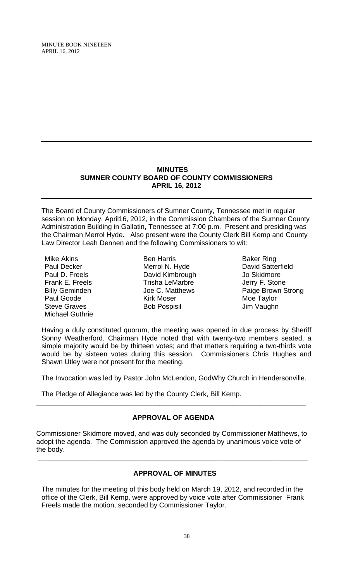# **MINUTES SUMNER COUNTY BOARD OF COUNTY COMMISSIONERS APRIL 16, 2012**

The Board of County Commissioners of Sumner County, Tennessee met in regular session on Monday, April16, 2012, in the Commission Chambers of the Sumner County Administration Building in Gallatin, Tennessee at 7:00 p.m. Present and presiding was the Chairman Merrol Hyde. Also present were the County Clerk Bill Kemp and County Law Director Leah Dennen and the following Commissioners to wit:

Mike Akins Paul Decker Paul D. Freels Frank E. Freels Billy Geminden Paul Goode Steve Graves Michael Guthrie

Ben Harris Merrol N. Hyde David Kimbrough Trisha LeMarbre Joe C. Matthews Kirk Moser Bob Pospisil

Baker Ring David Satterfield Jo Skidmore Jerry F. Stone Paige Brown Strong Moe Taylor Jim Vaughn

Having a duly constituted quorum, the meeting was opened in due process by Sheriff Sonny Weatherford. Chairman Hyde noted that with twenty-two members seated, a simple majority would be by thirteen votes; and that matters requiring a two-thirds vote would be by sixteen votes during this session. Commissioners Chris Hughes and Shawn Utley were not present for the meeting.

The Invocation was led by Pastor John McLendon, GodWhy Church in Hendersonville.

The Pledge of Allegiance was led by the County Clerk, Bill Kemp.

#### **APPROVAL OF AGENDA**

\_\_\_\_\_\_\_\_\_\_\_\_\_\_\_\_\_\_\_\_\_\_\_\_\_\_\_\_\_\_\_\_\_\_\_\_\_\_\_\_\_\_\_\_\_\_\_\_\_\_\_\_\_\_\_\_\_\_\_\_\_\_\_\_\_\_\_\_\_\_

Commissioner Skidmore moved, and was duly seconded by Commissioner Matthews, to adopt the agenda. The Commission approved the agenda by unanimous voice vote of the body.

\_\_\_\_\_\_\_\_\_\_\_\_\_\_\_\_\_\_\_\_\_\_\_\_\_\_\_\_\_\_\_\_\_\_\_\_\_\_\_\_\_\_\_\_\_\_\_\_\_\_\_\_\_\_\_\_\_\_\_\_\_\_\_\_\_\_\_\_\_\_

## **APPROVAL OF MINUTES**

The minutes for the meeting of this body held on March 19, 2012, and recorded in the office of the Clerk, Bill Kemp, were approved by voice vote after Commissioner Frank Freels made the motion, seconded by Commissioner Taylor.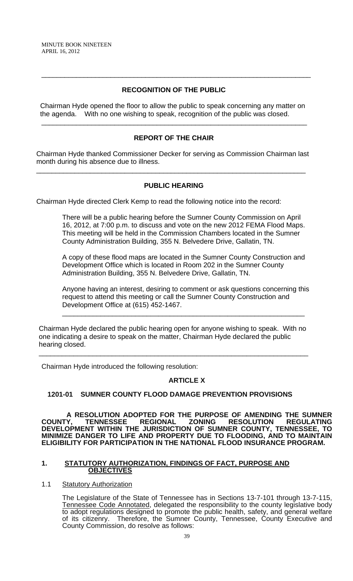# **RECOGNITION OF THE PUBLIC**

\_\_\_\_\_\_\_\_\_\_\_\_\_\_\_\_\_\_\_\_\_\_\_\_\_\_\_\_\_\_\_\_\_\_\_\_\_\_\_\_\_\_\_\_\_\_\_\_\_\_\_\_\_\_\_\_\_\_\_\_\_\_\_\_\_\_\_\_\_\_

 Chairman Hyde opened the floor to allow the public to speak concerning any matter on the agenda. With no one wishing to speak, recognition of the public was closed.

# **REPORT OF THE CHAIR**

\_\_\_\_\_\_\_\_\_\_\_\_\_\_\_\_\_\_\_\_\_\_\_\_\_\_\_\_\_\_\_\_\_\_\_\_\_\_\_\_\_\_\_\_\_\_\_\_\_\_\_\_\_\_\_\_\_\_\_\_\_\_\_\_\_\_\_\_\_

Chairman Hyde thanked Commissioner Decker for serving as Commission Chairman last month during his absence due to illness.

\_\_\_\_\_\_\_\_\_\_\_\_\_\_\_\_\_\_\_\_\_\_\_\_\_\_\_\_\_\_\_\_\_\_\_\_\_\_\_\_\_\_\_\_\_\_\_\_\_\_\_\_\_\_\_\_\_\_\_\_\_\_\_\_\_\_\_\_\_\_

# **PUBLIC HEARING**

Chairman Hyde directed Clerk Kemp to read the following notice into the record:

There will be a public hearing before the Sumner County Commission on April 16, 2012, at 7:00 p.m. to discuss and vote on the new 2012 FEMA Flood Maps. This meeting will be held in the Commission Chambers located in the Sumner County Administration Building, 355 N. Belvedere Drive, Gallatin, TN.

A copy of these flood maps are located in the Sumner County Construction and Development Office which is located in Room 202 in the Sumner County Administration Building, 355 N. Belvedere Drive, Gallatin, TN.

Anyone having an interest, desiring to comment or ask questions concerning this request to attend this meeting or call the Sumner County Construction and Development Office at (615) 452-1467.

\_\_\_\_\_\_\_\_\_\_\_\_\_\_\_\_\_\_\_\_\_\_\_\_\_\_\_\_\_\_\_\_\_\_\_\_\_\_\_\_\_\_\_\_\_\_\_\_\_\_\_\_\_\_\_\_\_\_\_\_\_\_\_

Chairman Hyde declared the public hearing open for anyone wishing to speak. With no one indicating a desire to speak on the matter, Chairman Hyde declared the public hearing closed.

\_\_\_\_\_\_\_\_\_\_\_\_\_\_\_\_\_\_\_\_\_\_\_\_\_\_\_\_\_\_\_\_\_\_\_\_\_\_\_\_\_\_\_\_\_\_\_\_\_\_\_\_\_\_\_\_\_\_\_\_\_\_\_\_\_\_\_\_\_\_

Chairman Hyde introduced the following resolution:

# **ARTICLE X**

# **1201-01 SUMNER COUNTY FLOOD DAMAGE PREVENTION PROVISIONS**

 **A RESOLUTION ADOPTED FOR THE PURPOSE OF AMENDING THE SUMNER COUNTY, TENNESSEE REGIONAL ZONING RESOLUTION REGULATING DEVELOPMENT WITHIN THE JURISDICTION OF SUMNER COUNTY, TENNESSEE, TO MINIMIZE DANGER TO LIFE AND PROPERTY DUE TO FLOODING, AND TO MAINTAIN ELIGIBILITY FOR PARTICIPATION IN THE NATIONAL FLOOD INSURANCE PROGRAM.** 

#### **1. STATUTORY AUTHORIZATION, FINDINGS OF FACT, PURPOSE AND OBJECTIVES**

#### 1.1 Statutory Authorization

 The Legislature of the State of Tennessee has in Sections 13-7-101 through 13-7-115, Tennessee Code Annotated, delegated the responsibility to the county legislative body to adopt regulations designed to promote the public health, safety, and general welfare of its citizenry. Therefore, the Sumner County, Tennessee, County Executive and County Commission, do resolve as follows: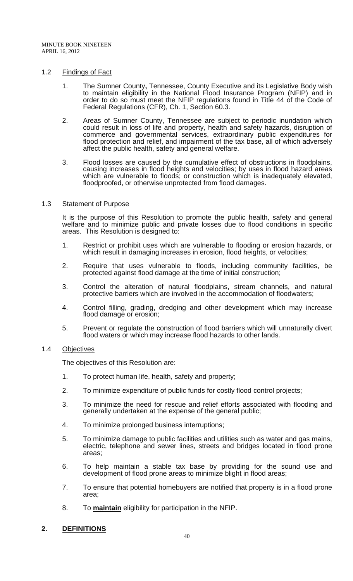#### 1.2 Findings of Fact

- 1. The Sumner County**,** Tennessee, County Executive and its Legislative Body wish to maintain eligibility in the National Flood Insurance Program (NFIP) and in order to do so must meet the NFIP regulations found in Title 44 of the Code of Federal Regulations (CFR), Ch. 1, Section 60.3.
- 2. Areas of Sumner County, Tennessee are subject to periodic inundation which could result in loss of life and property, health and safety hazards, disruption of commerce and governmental services, extraordinary public expenditures for flood protection and relief, and impairment of the tax base, all of which adversely affect the public health, safety and general welfare.
- 3. Flood losses are caused by the cumulative effect of obstructions in floodplains, causing increases in flood heights and velocities; by uses in flood hazard areas which are vulnerable to floods; or construction which is inadequately elevated, floodproofed, or otherwise unprotected from flood damages.

#### 1.3 Statement of Purpose

It is the purpose of this Resolution to promote the public health, safety and general welfare and to minimize public and private losses due to flood conditions in specific areas. This Resolution is designed to:

- 1. Restrict or prohibit uses which are vulnerable to flooding or erosion hazards, or which result in damaging increases in erosion, flood heights, or velocities;
- 2. Require that uses vulnerable to floods, including community facilities, be protected against flood damage at the time of initial construction;
- 3. Control the alteration of natural floodplains, stream channels, and natural protective barriers which are involved in the accommodation of floodwaters;
- 4. Control filling, grading, dredging and other development which may increase flood damage or erosion;
- 5. Prevent or regulate the construction of flood barriers which will unnaturally divert flood waters or which may increase flood hazards to other lands.

#### 1.4 Objectives

The objectives of this Resolution are:

- 1. To protect human life, health, safety and property;
- 2. To minimize expenditure of public funds for costly flood control projects;
- 3. To minimize the need for rescue and relief efforts associated with flooding and generally undertaken at the expense of the general public;
- 4. To minimize prolonged business interruptions;
- 5. To minimize damage to public facilities and utilities such as water and gas mains, electric, telephone and sewer lines, streets and bridges located in flood prone areas;
- 6. To help maintain a stable tax base by providing for the sound use and development of flood prone areas to minimize blight in flood areas;
- 7. To ensure that potential homebuyers are notified that property is in a flood prone area;
- 8. To **maintain** eligibility for participation in the NFIP.

#### **2. DEFINITIONS**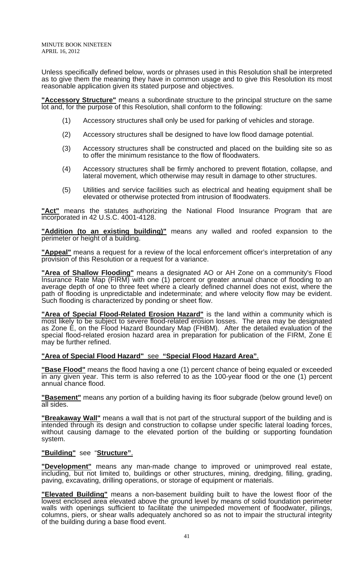Unless specifically defined below, words or phrases used in this Resolution shall be interpreted as to give them the meaning they have in common usage and to give this Resolution its most reasonable application given its stated purpose and objectives.

**"Accessory Structure"** means a subordinate structure to the principal structure on the same lot and, for the purpose of this Resolution, shall conform to the following:

- (1) Accessory structures shall only be used for parking of vehicles and storage.
- (2) Accessory structures shall be designed to have low flood damage potential.
- (3) Accessory structures shall be constructed and placed on the building site so as to offer the minimum resistance to the flow of floodwaters.
- (4) Accessory structures shall be firmly anchored to prevent flotation, collapse, and lateral movement, which otherwise may result in damage to other structures.
- (5) Utilities and service facilities such as electrical and heating equipment shall be elevated or otherwise protected from intrusion of floodwaters.

**"Act"** means the statutes authorizing the National Flood Insurance Program that are incorporated in 42 U.S.C. 4001-4128.

**"Addition (to an existing building)"** means any walled and roofed expansion to the perimeter or height of a building.

**"Appeal"** means a request for a review of the local enforcement officer's interpretation of any provision of this Resolution or a request for a variance.

**"Area of Shallow Flooding"** means a designated AO or AH Zone on a community's Flood Insurance Rate Map (FIRM) with one (1) percent or greater annual chance of flooding to an average depth of one to three feet where a clearly defined channel does not exist, where the path of flooding is unpredictable and indeterminate; and where velocity flow may be evident. Such flooding is characterized by ponding or sheet flow.

**"Area of Special Flood-Related Erosion Hazard"** is the land within a community which is most likely to be subject to severe flood-related erosion losses. The area may be designated as Zone E, on the Flood Hazard Boundary Map (FHBM). After the detailed evaluation of the special flood-related erosion hazard area in preparation for publication of the FIRM, Zone E may be further refined.

# **"Area of Special Flood Hazard"** see **"Special Flood Hazard Area"**.

**"Base Flood"** means the flood having a one (1) percent chance of being equaled or exceeded in any given year. This term is also referred to as the 100-year flood or the one (1) percent annual chance flood.

**"Basement"** means any portion of a building having its floor subgrade (below ground level) on all sides.

**"Breakaway Wall"** means a wall that is not part of the structural support of the building and is **Elisandway Train models area was to the part of later under specific lateral loading forces,** without causing damage to the elevated portion of the building or supporting foundation system.

#### **"Building"** see "**Structure"**.

**"Development"** means any man-made change to improved or unimproved real estate, including, but not limited to, buildings or other structures, mining, dredging, filling, grading, paving, excavating, drilling operations, or storage of equipment or materials.

**"Elevated Building"** means a non-basement building built to have the lowest floor of the lowest enclosed area elevated above the ground level by means of solid foundation perimeter walls with openings sufficient to facilitate the unimpeded movement of floodwater, pilings, columns, piers, or shear walls adequately anchored so as not to impair the structural integrity of the building during a base flood event.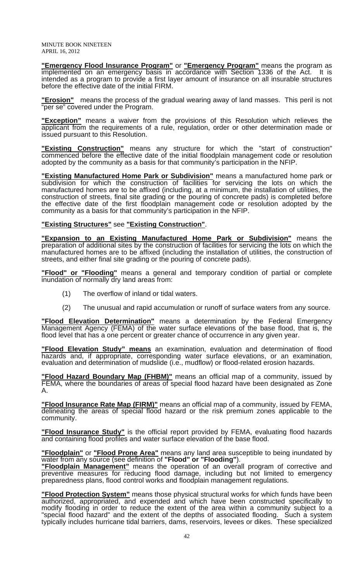**"Emergency Flood Insurance Program"** or **"Emergency Program"** means the program as implemented on an emergency basis in accordance with Section 1336 of the Act. It is intended as a program to provide a first layer amount of insurance on all insurable structures before the effective date of the initial FIRM.

**"Erosion"** means the process of the gradual wearing away of land masses. This peril is not "per se" covered under the Program.

**"Exception"** means a waiver from the provisions of this Resolution which relieves the applicant from the requirements of a rule, regulation, order or other determination made or issued pursuant to this Resolution.

**"Existing Construction"** means any structure for which the "start of construction" commenced before the effective date of the initial floodplain management code or resolution adopted by the community as a basis for that community's participation in the NFIP.

**"Existing Manufactured Home Park or Subdivision"** means a manufactured home park or subdivision for which the construction of facilities for servicing the lots on which the manufactured homes are to be affixed (including, at a minimum, the installation of utilities, the construction of streets, final site grading or the pouring of concrete pads) is completed before the effective date of the first floodplain management code or resolution adopted by the community as a basis for that community's participation in the NFIP.

#### **"Existing Structures"** see **"Existing Construction"**.

**"Expansion to an Existing Manufactured Home Park or Subdivision"** means the preparation of additional sites by the construction of facilities for servicing the lots on which the manufactured homes are to be affixed (including the installation of utilities, the construction of streets, and either final site grading or the pouring of concrete pads).

**"Flood" or "Flooding"** means a general and temporary condition of partial or complete inundation of normally dry land areas from:

- (1) The overflow of inland or tidal waters.
- (2) The unusual and rapid accumulation or runoff of surface waters from any source.

**"Flood Elevation Determination"** means a determination by the Federal Emergency Management Agency (FEMA) of the water surface elevations of the base flood, that is, the flood level that has a one percent or greater chance of occurrence in any given year.

**"Flood Elevation Study" means** an examination, evaluation and determination of flood hazards and, if appropriate, corresponding water surface elevations, or an examination, evaluation and determination of mudslide (i.e., mudflow) or flood-related erosion hazards.

**"Flood Hazard Boundary Map (FHBM)"** means an official map of a community, issued by FEMA, where the boundaries of areas of special flood hazard have been designated as Zone A.

**"Flood Insurance Rate Map (FIRM)"** means an official map of a community, issued by FEMA, delineating the areas of special flood hazard or the risk premium zones applicable to the community.

**"Flood Insurance Study"** is the official report provided by FEMA, evaluating flood hazards and containing flood profiles and water surface elevation of the base flood.

#### **"Floodplain"** or **"Flood Prone Area"** means any land area susceptible to being inundated by water from any source (see definition of **"Flood" or "Flooding"**).

**"Floodplain Management"** means the operation of an overall program of corrective and preventive measures for reducing flood damage, including but not limited to emergency preparedness plans, flood control works and floodplain management regulations.

**"Flood Protection System"** means those physical structural works for which funds have been authorized, appropriated, and expended and which have been constructed specifically to modify flooding in order to reduce the extent of the area within a community subject to a "special flood hazard" and the extent of the depths of associated flooding. Such a system typically includes hurricane tidal barriers, dams, reservoirs, levees or dikes. These specialized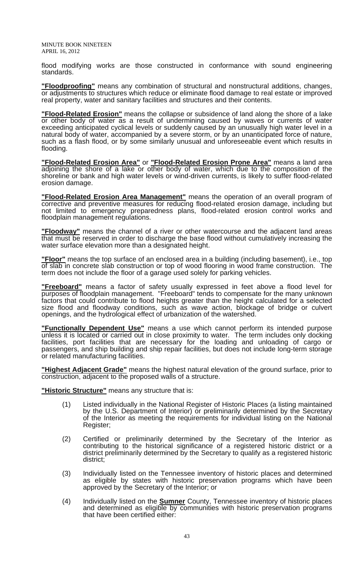flood modifying works are those constructed in conformance with sound engineering standards.

**"Floodproofing"** means any combination of structural and nonstructural additions, changes, or adjustments to structures which reduce or eliminate flood damage to real estate or improved real property, water and sanitary facilities and structures and their contents.

**"Flood-Related Erosion"** means the collapse or subsidence of land along the shore of a lake or other body of water as a result of undermining caused by waves or currents of water exceeding anticipated cyclical levels or suddenly caused by an unusually high water level in a natural body of water, accompanied by a severe storm, or by an unanticipated force of nature, such as a flash flood, or by some similarly unusual and unforeseeable event which results in flooding.

**"Flood-Related Erosion Area"** or **"Flood-Related Erosion Prone Area"** means a land area adjoining the shore of a lake or other body of water, which due to the composition of the shoreline or bank and high water levels or wind-driven currents, is likely to suffer flood-related erosion damage.

**"Flood-Related Erosion Area Management"** means the operation of an overall program of corrective and preventive measures for reducing flood-related erosion damage, including but not limited to emergency preparedness plans, flood-related erosion control works and floodplain management regulations.

**"Floodway"** means the channel of a river or other watercourse and the adjacent land areas that must be reserved in order to discharge the base flood without cumulatively increasing the water surface elevation more than a designated height.

**"Floor"** means the top surface of an enclosed area in a building (including basement), i.e., top of slab in concrete slab construction or top of wood flooring in wood frame construction. The term does not include the floor of a garage used solely for parking vehicles.

**"Freeboard"** means a factor of safety usually expressed in feet above a flood level for purposes of floodplain management. "Freeboard" tends to compensate for the many unknown factors that could contribute to flood heights greater than the height calculated for a selected size flood and floodway conditions, such as wave action, blockage of bridge or culvert openings, and the hydrological effect of urbanization of the watershed.

**"Functionally Dependent Use"** means a use which cannot perform its intended purpose unless it is located or carried out in close proximity to water. The term includes only docking facilities, port facilities that are necessary for the loading and unloading of cargo or passengers, and ship building and ship repair facilities, but does not include long-term storage or related manufacturing facilities.

**"Highest Adjacent Grade"** means the highest natural elevation of the ground surface, prior to construction, adjacent to the proposed walls of a structure.

**"Historic Structure"** means any structure that is:

- (1) Listed individually in the National Register of Historic Places (a listing maintained by the U.S. Department of Interior) or preliminarily determined by the Secretary of the Interior as meeting the requirements for individual listing on the National Register;
- (2) Certified or preliminarily determined by the Secretary of the Interior as contributing to the historical significance of a registered historic district or a district preliminarily determined by the Secretary to qualify as a registered historic district;
- (3) Individually listed on the Tennessee inventory of historic places and determined as eligible by states with historic preservation programs which have been approved by the Secretary of the Interior; or
- (4) Individually listed on the **Sumner** County, Tennessee inventory of historic places and determined as eligible by communities with historic preservation programs that have been certified either: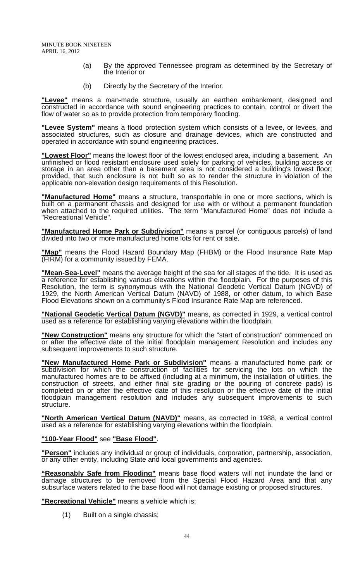- (a) By the approved Tennessee program as determined by the Secretary of the Interior or
- (b) Directly by the Secretary of the Interior.

**"Levee"** means a man-made structure, usually an earthen embankment, designed and constructed in accordance with sound engineering practices to contain, control or divert the flow of water so as to provide protection from temporary flooding.

**"Levee System"** means a flood protection system which consists of a levee, or levees, and **Levee Oystem** means a nost processor system measurement and associated structures, such as closure and drainage devices, which are constructed and operated in accordance with sound engineering practices.

**"Lowest Floor"** means the lowest floor of the lowest enclosed area, including a basement. An unfinished or flood resistant enclosure used solely for parking of vehicles, building access or storage in an area other than a basement area is not considered a building's lowest floor; provided, that such enclosure is not built so as to render the structure in violation of the applicable non-elevation design requirements of this Resolution.

**"Manufactured Home"** means a structure, transportable in one or more sections, which is built on a permanent chassis and designed for use with or without a permanent foundation when attached to the required utilities. The term "Manufactured Home" does not include a "Recreational Vehicle".

**"Manufactured Home Park or Subdivision"** means a parcel (or contiguous parcels) of land divided into two or more manufactured home lots for rent or sale.

**"Map"** means the Flood Hazard Boundary Map (FHBM) or the Flood Insurance Rate Map (FIRM) for a community issued by FEMA.

**"Mean-Sea-Level"** means the average height of the sea for all stages of the tide. It is used as a reference for establishing various elevations within the floodplain. For the purposes of this Resolution, the term is synonymous with the National Geodetic Vertical Datum (NGVD) of 1929, the North American Vertical Datum (NAVD) of 1988, or other datum, to which Base Flood Elevations shown on a community's Flood Insurance Rate Map are referenced.

**"National Geodetic Vertical Datum (NGVD)"** means, as corrected in 1929, a vertical control used as a reference for establishing varying elevations within the floodplain.

**"New Construction"** means any structure for which the "start of construction" commenced on or after the effective date of the initial floodplain management Resolution and includes any subsequent improvements to such structure.

**"New Manufactured Home Park or Subdivision"** means a manufactured home park or subdivision for which the construction of facilities for servicing the lots on which the manufactured homes are to be affixed (including at a minimum, the installation of utilities, the construction of streets, and either final site grading or the pouring of concrete pads) is completed on or after the effective date of this resolution or the effective date of the initial floodplain management resolution and includes any subsequent improvements to such structure.

**"North American Vertical Datum (NAVD)"** means, as corrected in 1988, a vertical control used as a reference for establishing varying elevations within the floodplain.

#### **"100-Year Flood"** see **"Base Flood"**.

**"Person"** includes any individual or group of individuals, corporation, partnership, association, or any other entity, including State and local governments and agencies.

**"Reasonably Safe from Flooding"** means base flood waters will not inundate the land or damage structures to be removed from the Special Flood Hazard Area and that any subsurface waters related to the base flood will not damage existing or proposed structures.

**"Recreational Vehicle"** means a vehicle which is:

(1) Built on a single chassis;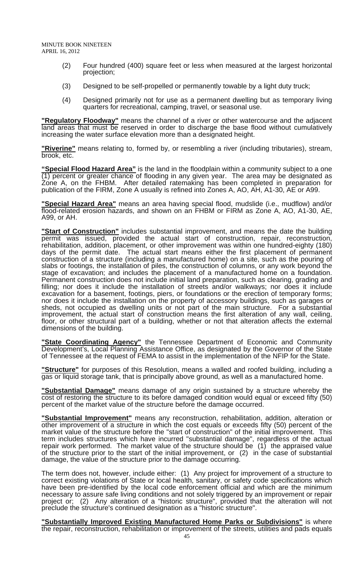- (2) Four hundred (400) square feet or less when measured at the largest horizontal projection;
- (3) Designed to be self-propelled or permanently towable by a light duty truck;
- (4) Designed primarily not for use as a permanent dwelling but as temporary living quarters for recreational, camping, travel, or seasonal use.

**"Regulatory Floodway"** means the channel of a river or other watercourse and the adjacent land areas that must be reserved in order to discharge the base flood without cumulatively increasing the water surface elevation more than a designated height.

**"Riverine"** means relating to, formed by, or resembling a river (including tributaries), stream, brook, etc.

**"Special Flood Hazard Area"** is the land in the floodplain within a community subject to a one  $(1)$  percent or greater chance of flooding in any given year. The area may be designated as Zone A, on the FHBM. After detailed ratemaking has been completed in preparation for publication of the FIRM, Zone A usually is refined into Zones A, AO, AH, A1-30, AE or A99.

**"Special Hazard Area"** means an area having special flood, mudslide (i.e., mudflow) and/or flood-related erosion hazards, and shown on an FHBM or FIRM as Zone A, AO, A1-30, AE, A99, or AH.

**"Start of Construction"** includes substantial improvement, and means the date the building permit was issued, provided the actual start of construction, repair, reconstruction, rehabilitation, addition, placement, or other improvement was within one hundred-eighty (180) days of the permit date. The actual start means either the first placement of permanent construction of a structure (including a manufactured home) on a site, such as the pouring of slabs or footings, the installation of piles, the construction of columns, or any work beyond the stage of excavation; and includes the placement of a manufactured home on a foundation. Permanent construction does not include initial land preparation, such as clearing, grading and filling; nor does it include the installation of streets and/or walkways; nor does it include excavation for a basement, footings, piers, or foundations or the erection of temporary forms; nor does it include the installation on the property of accessory buildings, such as garages or sheds, not occupied as dwelling units or not part of the main structure. For a substantial improvement, the actual start of construction means the first alteration of any wall, ceiling, floor, or other structural part of a building, whether or not that alteration affects the external dimensions of the building.

**"State Coordinating Agency"** the Tennessee Department of Economic and Community Development's, Local Planning Assistance Office, as designated by the Governor of the State of Tennessee at the request of FEMA to assist in the implementation of the NFIP for the State.

**"Structure"** for purposes of this Resolution, means a walled and roofed building, including a gas or liquid storage tank, that is principally above ground, as well as a manufactured home.

**"Substantial Damage"** means damage of any origin sustained by a structure whereby the cost of restoring the structure to its before damaged condition would equal or exceed fifty (50) percent of the market value of the structure before the damage occurred.

**"Substantial Improvement"** means any reconstruction, rehabilitation, addition, alteration or other improvement of a structure in which the cost equals or exceeds fifty (50) percent of the market value of the structure before the "start of construction" of the initial improvement. This term includes structures which have incurred "substantial damage", regardless of the actual repair work performed. The market value of the structure should be (1) the appraised value of the structure prior to the start of the initial improvement, or (2) in the case of substantial damage, the value of the structure prior to the damage occurring.

The term does not, however, include either: (1) Any project for improvement of a structure to correct existing violations of State or local health, sanitary, or safety code specifications which have been pre-identified by the local code enforcement official and which are the minimum necessary to assure safe living conditions and not solely triggered by an improvement or repair project or; (2) Any alteration of a "historic structure", provided that the alteration will not preclude the structure's continued designation as a "historic structure".

**"Substantially Improved Existing Manufactured Home Parks or Subdivisions"** is where the repair, reconstruction, rehabilitation or improvement of the streets, utilities and pads equals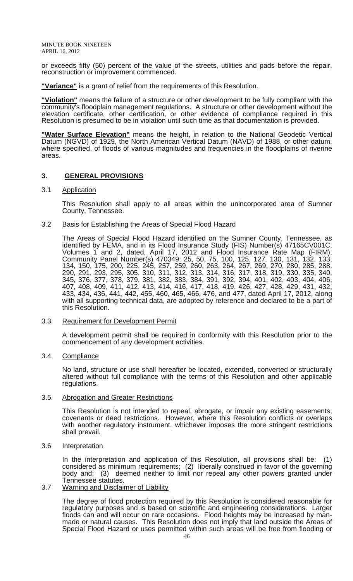or exceeds fifty (50) percent of the value of the streets, utilities and pads before the repair, reconstruction or improvement commenced.

**"Variance"** is a grant of relief from the requirements of this Resolution.

**"Violation"** means the failure of a structure or other development to be fully compliant with the community's floodplain management regulations. A structure or other development without the elevation certificate, other certification, or other evidence of compliance required in this Resolution is presumed to be in violation until such time as that documentation is provided.

**"Water Surface Elevation"** means the height, in relation to the National Geodetic Vertical Datum (NGVD) of 1929, the North American Vertical Datum (NAVD) of 1988, or other datum, where specified, of floods of various magnitudes and frequencies in the floodplains of riverine areas.

#### **3. GENERAL PROVISIONS**

#### 3.1 Application

 This Resolution shall apply to all areas within the unincorporated area of Sumner County, Tennessee.

#### 3.2 Basis for Establishing the Areas of Special Flood Hazard

 The Areas of Special Flood Hazard identified on the Sumner County, Tennessee, as identified by FEMA, and in its Flood Insurance Study (FIS) Number(s) 47165CV001C, Volumes 1 and 2, dated, April 17, 2012 and Flood Insurance Rate Map (FIRM), Community Panel Number(s) 470349: 25, 50, 75, 100, 125, 127, 130, 131, 132, 133, 134, 150, 175, 200, 225, 245, 257, 259, 260, 263, 264, 267, 269, 270, 280, 285, 288, 290, 291, 293, 295, 305, 310, 311, 312, 313, 314, 316, 317, 318, 319, 330, 335, 340, 345, 376, 377, 378, 379, 381, 382, 383, 384, 391, 392, 394, 401, 402, 403, 404, 406, 407, 408, 409, 411, 412, 413, 414, 416, 417, 418, 419, 426, 427, 428, 429, 431, 432, 433, 434, 436, 441, 442, 455, 460, 465, 466, 476, and 477, dated April 17, 2012, along with all supporting technical data, are adopted by reference and declared to be a part of this Resolution.

#### 3.3. Requirement for Development Permit

 A development permit shall be required in conformity with this Resolution prior to the commencement of any development activities.

#### 3.4. Compliance

 No land, structure or use shall hereafter be located, extended, converted or structurally altered without full compliance with the terms of this Resolution and other applicable regulations.

#### 3.5. Abrogation and Greater Restrictions

 This Resolution is not intended to repeal, abrogate, or impair any existing easements, covenants or deed restrictions. However, where this Resolution conflicts or overlaps with another regulatory instrument, whichever imposes the more stringent restrictions shall prevail.

#### 3.6 Interpretation

 In the interpretation and application of this Resolution, all provisions shall be: (1) considered as minimum requirements; (2) liberally construed in favor of the governing body and; (3) deemed neither to limit nor repeal any other powers granted under Tennessee statutes.

#### 3.7 Warning and Disclaimer of Liability

 The degree of flood protection required by this Resolution is considered reasonable for regulatory purposes and is based on scientific and engineering considerations. Larger floods can and will occur on rare occasions. Flood heights may be increased by manmade or natural causes. This Resolution does not imply that land outside the Areas of Special Flood Hazard or uses permitted within such areas will be free from flooding or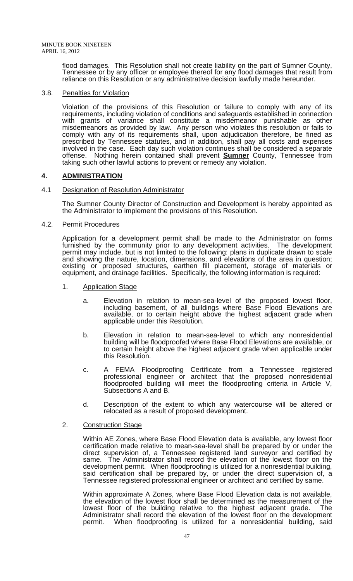flood damages. This Resolution shall not create liability on the part of Sumner County, Tennessee or by any officer or employee thereof for any flood damages that result from reliance on this Resolution or any administrative decision lawfully made hereunder.

#### 3.8. Penalties for Violation

 Violation of the provisions of this Resolution or failure to comply with any of its requirements, including violation of conditions and safeguards established in connection with grants of variance shall constitute a misdemeanor punishable as other misdemeanors as provided by law. Any person who violates this resolution or fails to comply with any of its requirements shall, upon adjudication therefore, be fined as prescribed by Tennessee statutes, and in addition, shall pay all costs and expenses involved in the case. Each day such violation continues shall be considered a separate offense. Nothing herein contained shall prevent **Sumner** County, Tennessee from taking such other lawful actions to prevent or remedy any violation.

# **4. ADMINISTRATION**

#### 4.1 Designation of Resolution Administrator

 The Sumner County Director of Construction and Development is hereby appointed as the Administrator to implement the provisions of this Resolution.

#### 4.2. Permit Procedures

 Application for a development permit shall be made to the Administrator on forms furnished by the community prior to any development activities. The development permit may include, but is not limited to the following: plans in duplicate drawn to scale and showing the nature, location, dimensions, and elevations of the area in question; existing or proposed structures, earthen fill placement, storage of materials or equipment, and drainage facilities. Specifically, the following information is required:

- 1. Application Stage
	- a. Elevation in relation to mean-sea-level of the proposed lowest floor, including basement, of all buildings where Base Flood Elevations are available, or to certain height above the highest adjacent grade when applicable under this Resolution.
	- b. Elevation in relation to mean-sea-level to which any nonresidential building will be floodproofed where Base Flood Elevations are available, or to certain height above the highest adjacent grade when applicable under this Resolution.
	- c. A FEMA Floodproofing Certificate from a Tennessee registered professional engineer or architect that the proposed nonresidential floodproofed building will meet the floodproofing criteria in Article V, Subsections A and B.
	- d. Description of the extent to which any watercourse will be altered or relocated as a result of proposed development.

#### 2. Construction Stage

Within AE Zones, where Base Flood Elevation data is available, any lowest floor certification made relative to mean-sea-level shall be prepared by or under the direct supervision of, a Tennessee registered land surveyor and certified by same. The Administrator shall record the elevation of the lowest floor on the development permit. When floodproofing is utilized for a nonresidential building, said certification shall be prepared by, or under the direct supervision of, a Tennessee registered professional engineer or architect and certified by same.

Within approximate A Zones, where Base Flood Elevation data is not available, the elevation of the lowest floor shall be determined as the measurement of the lowest floor of the building relative to the highest adjacent grade. The Administrator shall record the elevation of the lowest floor on the development permit. When floodproofing is utilized for a nonresidential building, said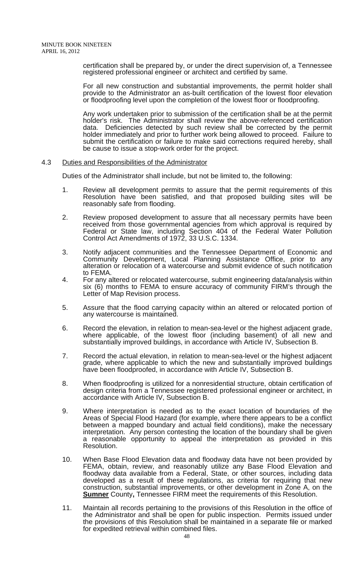> certification shall be prepared by, or under the direct supervision of, a Tennessee registered professional engineer or architect and certified by same.

> For all new construction and substantial improvements, the permit holder shall provide to the Administrator an as-built certification of the lowest floor elevation or floodproofing level upon the completion of the lowest floor or floodproofing.

> Any work undertaken prior to submission of the certification shall be at the permit holder's risk. The Administrator shall review the above-referenced certification data. Deficiencies detected by such review shall be corrected by the permit holder immediately and prior to further work being allowed to proceed. Failure to submit the certification or failure to make said corrections required hereby, shall be cause to issue a stop-work order for the project.

#### 4.3 Duties and Responsibilities of the Administrator

Duties of the Administrator shall include, but not be limited to, the following:

- 1. Review all development permits to assure that the permit requirements of this Resolution have been satisfied, and that proposed building sites will be reasonably safe from flooding.
- 2. Review proposed development to assure that all necessary permits have been received from those governmental agencies from which approval is required by Federal or State law, including Section 404 of the Federal Water Pollution Control Act Amendments of 1972, 33 U.S.C. 1334.
- 3. Notify adjacent communities and the Tennessee Department of Economic and Community Development, Local Planning Assistance Office, prior to any alteration or relocation of a watercourse and submit evidence of such notification to FEMA.
- 4. For any altered or relocated watercourse, submit engineering data/analysis within six (6) months to FEMA to ensure accuracy of community FIRM's through the Letter of Map Revision process.
- 5. Assure that the flood carrying capacity within an altered or relocated portion of any watercourse is maintained.
- 6. Record the elevation, in relation to mean-sea-level or the highest adjacent grade, where applicable, of the lowest floor (including basement) of all new and substantially improved buildings, in accordance with Article IV, Subsection B.
- 7. Record the actual elevation, in relation to mean-sea-level or the highest adjacent grade, where applicable to which the new and substantially improved buildings have been floodproofed, in accordance with Article IV, Subsection B.
- 8. When floodproofing is utilized for a nonresidential structure, obtain certification of design criteria from a Tennessee registered professional engineer or architect, in accordance with Article IV, Subsection B.
- 9. Where interpretation is needed as to the exact location of boundaries of the Areas of Special Flood Hazard (for example, where there appears to be a conflict between a mapped boundary and actual field conditions), make the necessary interpretation. Any person contesting the location of the boundary shall be given a reasonable opportunity to appeal the interpretation as provided in this Resolution.
- 10. When Base Flood Elevation data and floodway data have not been provided by FEMA, obtain, review, and reasonably utilize any Base Flood Elevation and floodway data available from a Federal, State, or other sources, including data developed as a result of these regulations, as criteria for requiring that new construction, substantial improvements, or other development in Zone A, on the **Sumner** County, Tennessee FIRM meet the requirements of this Resolution.
- 11. Maintain all records pertaining to the provisions of this Resolution in the office of the Administrator and shall be open for public inspection. Permits issued under the provisions of this Resolution shall be maintained in a separate file or marked for expedited retrieval within combined files.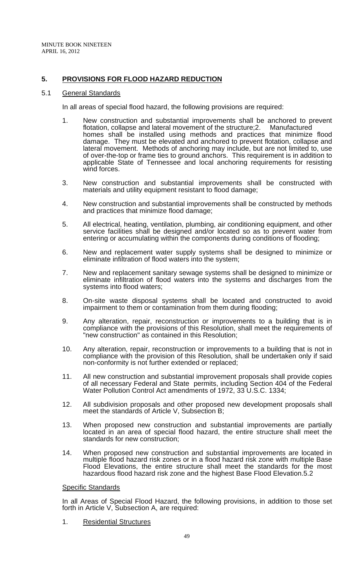# **5. PROVISIONS FOR FLOOD HAZARD REDUCTION**

#### 5.1 General Standards

In all areas of special flood hazard, the following provisions are required:

- 1. New construction and substantial improvements shall be anchored to prevent flotation, collapse and lateral movement of the structure; 2. Manufactured flotation, collapse and lateral movement of the structure; 2. homes shall be installed using methods and practices that minimize flood damage. They must be elevated and anchored to prevent flotation, collapse and lateral movement. Methods of anchoring may include, but are not limited to, use of over-the-top or frame ties to ground anchors. This requirement is in addition to applicable State of Tennessee and local anchoring requirements for resisting wind forces.
- 3. New construction and substantial improvements shall be constructed with materials and utility equipment resistant to flood damage;
- 4. New construction and substantial improvements shall be constructed by methods and practices that minimize flood damage;
- 5. All electrical, heating, ventilation, plumbing, air conditioning equipment, and other service facilities shall be designed and/or located so as to prevent water from entering or accumulating within the components during conditions of flooding;
- 6. New and replacement water supply systems shall be designed to minimize or eliminate infiltration of flood waters into the system;
- 7. New and replacement sanitary sewage systems shall be designed to minimize or eliminate infiltration of flood waters into the systems and discharges from the systems into flood waters;
- 8. On-site waste disposal systems shall be located and constructed to avoid impairment to them or contamination from them during flooding;
- 9. Any alteration, repair, reconstruction or improvements to a building that is in compliance with the provisions of this Resolution, shall meet the requirements of "new construction" as contained in this Resolution;
- 10. Any alteration, repair, reconstruction or improvements to a building that is not in compliance with the provision of this Resolution, shall be undertaken only if said non-conformity is not further extended or replaced;
- 11. All new construction and substantial improvement proposals shall provide copies of all necessary Federal and State permits, including Section 404 of the Federal Water Pollution Control Act amendments of 1972, 33 U.S.C. 1334;
- 12. All subdivision proposals and other proposed new development proposals shall meet the standards of Article V, Subsection B;
- 13. When proposed new construction and substantial improvements are partially located in an area of special flood hazard, the entire structure shall meet the standards for new construction;
- 14. When proposed new construction and substantial improvements are located in multiple flood hazard risk zones or in a flood hazard risk zone with multiple Base Flood Elevations, the entire structure shall meet the standards for the most hazardous flood hazard risk zone and the highest Base Flood Elevation.5.2

#### Specific Standards

 In all Areas of Special Flood Hazard, the following provisions, in addition to those set forth in Article V, Subsection A, are required:

1. Residential Structures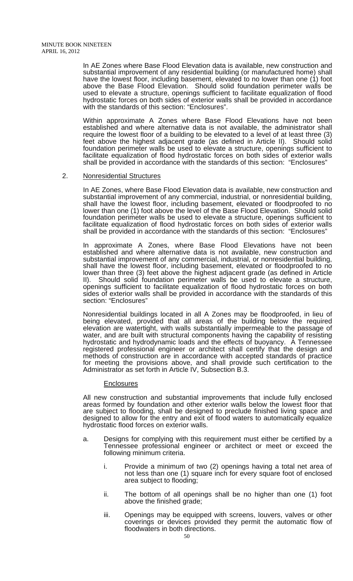In AE Zones where Base Flood Elevation data is available, new construction and substantial improvement of any residential building (or manufactured home) shall have the lowest floor, including basement, elevated to no lower than one (1) foot above the Base Flood Elevation. Should solid foundation perimeter walls be used to elevate a structure, openings sufficient to facilitate equalization of flood hydrostatic forces on both sides of exterior walls shall be provided in accordance with the standards of this section: "Enclosures".

Within approximate A Zones where Base Flood Elevations have not been established and where alternative data is not available, the administrator shall require the lowest floor of a building to be elevated to a level of at least three (3) feet above the highest adjacent grade (as defined in Article II). Should solid foundation perimeter walls be used to elevate a structure, openings sufficient to facilitate equalization of flood hydrostatic forces on both sides of exterior walls shall be provided in accordance with the standards of this section: "Enclosures"

#### 2. Nonresidential Structures

 In AE Zones, where Base Flood Elevation data is available, new construction and substantial improvement of any commercial, industrial, or nonresidential building, shall have the lowest floor, including basement, elevated or floodproofed to no lower than one (1) foot above the level of the Base Flood Elevation. Should solid foundation perimeter walls be used to elevate a structure, openings sufficient to facilitate equalization of flood hydrostatic forces on both sides of exterior walls shall be provided in accordance with the standards of this section: "Enclosures"

In approximate A Zones, where Base Flood Elevations have not been established and where alternative data is not available, new construction and substantial improvement of any commercial, industrial, or nonresidential building, shall have the lowest floor, including basement, elevated or floodproofed to no lower than three (3) feet above the highest adjacent grade (as defined in Article II). Should solid foundation perimeter walls be used to elevate a structure, openings sufficient to facilitate equalization of flood hydrostatic forces on both sides of exterior walls shall be provided in accordance with the standards of this section: "Enclosures"

Nonresidential buildings located in all A Zones may be floodproofed, in lieu of being elevated, provided that all areas of the building below the required elevation are watertight, with walls substantially impermeable to the passage of water, and are built with structural components having the capability of resisting hydrostatic and hydrodynamic loads and the effects of buoyancy. A Tennessee registered professional engineer or architect shall certify that the design and methods of construction are in accordance with accepted standards of practice for meeting the provisions above, and shall provide such certification to the Administrator as set forth in Article IV, Subsection B.3.

#### **Enclosures**

 All new construction and substantial improvements that include fully enclosed areas formed by foundation and other exterior walls below the lowest floor that are subject to flooding, shall be designed to preclude finished living space and designed to allow for the entry and exit of flood waters to automatically equalize hydrostatic flood forces on exterior walls.

- a. Designs for complying with this requirement must either be certified by a Tennessee professional engineer or architect or meet or exceed the following minimum criteria.
	- i. Provide a minimum of two (2) openings having a total net area of not less than one (1) square inch for every square foot of enclosed area subject to flooding;
	- ii. The bottom of all openings shall be no higher than one (1) foot above the finished grade;
	- iii. Openings may be equipped with screens, louvers, valves or other coverings or devices provided they permit the automatic flow of floodwaters in both directions.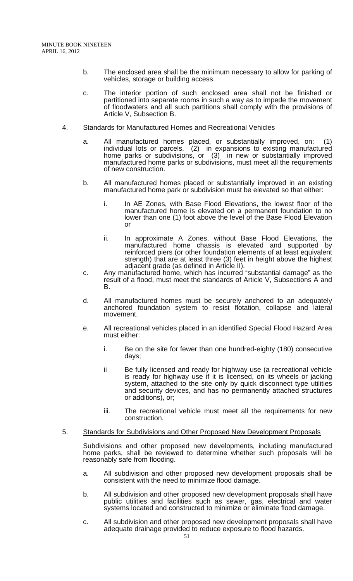- b. The enclosed area shall be the minimum necessary to allow for parking of vehicles, storage or building access.
- c. The interior portion of such enclosed area shall not be finished or partitioned into separate rooms in such a way as to impede the movement of floodwaters and all such partitions shall comply with the provisions of Article V, Subsection B.
- 4. Standards for Manufactured Homes and Recreational Vehicles
	- a. All manufactured homes placed, or substantially improved, on: (1) individual lots or parcels, (2) in expansions to existing manufactured home parks or subdivisions, or (3) in new or substantially improved manufactured home parks or subdivisions, must meet all the requirements of new construction.
	- b. All manufactured homes placed or substantially improved in an existing manufactured home park or subdivision must be elevated so that either:
		- i. In AE Zones, with Base Flood Elevations, the lowest floor of the manufactured home is elevated on a permanent foundation to no lower than one (1) foot above the level of the Base Flood Elevation or
		- ii. In approximate A Zones, without Base Flood Elevations, the manufactured home chassis is elevated and supported by reinforced piers (or other foundation elements of at least equivalent strength) that are at least three (3) feet in height above the highest adjacent grade (as defined in Article II).
	- c. Any manufactured home, which has incurred "substantial damage" as the result of a flood, must meet the standards of Article V, Subsections A and B.
	- d. All manufactured homes must be securely anchored to an adequately anchored foundation system to resist flotation, collapse and lateral movement.
	- e. All recreational vehicles placed in an identified Special Flood Hazard Area must either:
		- i. Be on the site for fewer than one hundred-eighty (180) consecutive days;
		- ii Be fully licensed and ready for highway use (a recreational vehicle is ready for highway use if it is licensed, on its wheels or jacking system, attached to the site only by quick disconnect type utilities and security devices, and has no permanently attached structures or additions), or;
		- iii. The recreational vehicle must meet all the requirements for new construction.

#### 5. Standards for Subdivisions and Other Proposed New Development Proposals

Subdivisions and other proposed new developments, including manufactured home parks, shall be reviewed to determine whether such proposals will be reasonably safe from flooding.

- a. All subdivision and other proposed new development proposals shall be consistent with the need to minimize flood damage.
- b. All subdivision and other proposed new development proposals shall have public utilities and facilities such as sewer, gas, electrical and water systems located and constructed to minimize or eliminate flood damage.
- c. All subdivision and other proposed new development proposals shall have adequate drainage provided to reduce exposure to flood hazards.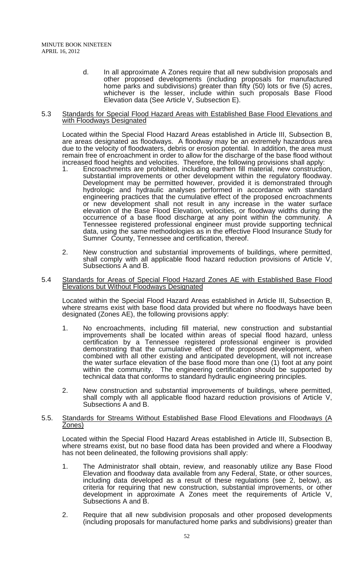d. In all approximate A Zones require that all new subdivision proposals and other proposed developments (including proposals for manufactured home parks and subdivisions) greater than fifty (50) lots or five (5) acres, whichever is the lesser, include within such proposals Base Flood Elevation data (See Article V, Subsection E).

#### 5.3 Standards for Special Flood Hazard Areas with Established Base Flood Elevations and with Floodways Designated

 Located within the Special Flood Hazard Areas established in Article III, Subsection B, are areas designated as floodways. A floodway may be an extremely hazardous area due to the velocity of floodwaters, debris or erosion potential. In addition, the area must remain free of encroachment in order to allow for the discharge of the base flood without increased flood heights and velocities. Therefore, the following provisions shall apply:

- 1. Encroachments are prohibited, including earthen fill material, new construction, substantial improvements or other development within the regulatory floodway. Development may be permitted however, provided it is demonstrated through hydrologic and hydraulic analyses performed in accordance with standard engineering practices that the cumulative effect of the proposed encroachments or new development shall not result in any increase in the water surface elevation of the Base Flood Elevation, velocities, or floodway widths during the occurrence of a base flood discharge at any point within the community. A Tennessee registered professional engineer must provide supporting technical data, using the same methodologies as in the effective Flood Insurance Study for Sumner County, Tennessee and certification, thereof.
- 2. New construction and substantial improvements of buildings, where permitted, shall comply with all applicable flood hazard reduction provisions of Article V, Subsections A and B.

#### 5.4 Standards for Areas of Special Flood Hazard Zones AE with Established Base Flood Elevations but Without Floodways Designated

 Located within the Special Flood Hazard Areas established in Article III, Subsection B, where streams exist with base flood data provided but where no floodways have been designated (Zones AE), the following provisions apply:

- 1. No encroachments, including fill material, new construction and substantial improvements shall be located within areas of special flood hazard, unless certification by a Tennessee registered professional engineer is provided demonstrating that the cumulative effect of the proposed development, when combined with all other existing and anticipated development, will not increase the water surface elevation of the base flood more than one (1) foot at any point within the community. The engineering certification should be supported by technical data that conforms to standard hydraulic engineering principles.
- 2. New construction and substantial improvements of buildings, where permitted, shall comply with all applicable flood hazard reduction provisions of Article V, Subsections A and B.

#### 5.5. Standards for Streams Without Established Base Flood Elevations and Floodways (A Zones)

 Located within the Special Flood Hazard Areas established in Article III, Subsection B, where streams exist, but no base flood data has been provided and where a Floodway has not been delineated, the following provisions shall apply:

- 1. The Administrator shall obtain, review, and reasonably utilize any Base Flood Elevation and floodway data available from any Federal, State, or other sources, including data developed as a result of these regulations (see 2, below), as criteria for requiring that new construction, substantial improvements, or other development in approximate A Zones meet the requirements of Article V, Subsections A and B.
- 2. Require that all new subdivision proposals and other proposed developments (including proposals for manufactured home parks and subdivisions) greater than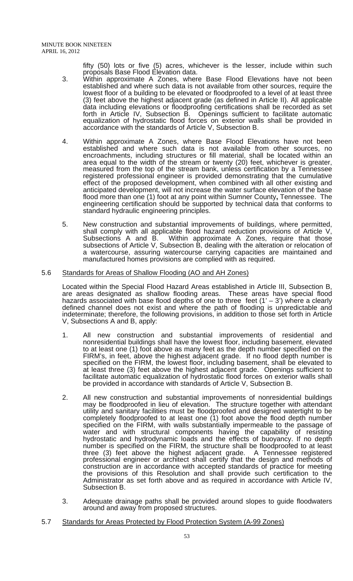fifty (50) lots or five (5) acres, whichever is the lesser, include within such proposals Base Flood Elevation data.

- 3. Within approximate A Zones, where Base Flood Elevations have not been established and where such data is not available from other sources, require the lowest floor of a building to be elevated or floodproofed to a level of at least three (3) feet above the highest adjacent grade (as defined in Article II). All applicable data including elevations or floodproofing certifications shall be recorded as set forth in Article IV, Subsection B. Openings sufficient to facilitate automatic equalization of hydrostatic flood forces on exterior walls shall be provided in accordance with the standards of Article V, Subsection B.
- 4. Within approximate A Zones, where Base Flood Elevations have not been established and where such data is not available from other sources, no encroachments, including structures or fill material, shall be located within an area equal to the width of the stream or twenty (20) feet, whichever is greater, measured from the top of the stream bank, unless certification by a Tennessee registered professional engineer is provided demonstrating that the cumulative effect of the proposed development, when combined with all other existing and anticipated development, will not increase the water surface elevation of the base flood more than one (1) foot at any point within Sumner County**,** Tennessee. The engineering certification should be supported by technical data that conforms to standard hydraulic engineering principles.
- 5. New construction and substantial improvements of buildings, where permitted, shall comply with all applicable flood hazard reduction provisions of Article V, Subsections A and B. Within approximate A Zones, require that those subsections of Article V, Subsection B, dealing with the alteration or relocation of a watercourse, assuring watercourse carrying capacities are maintained and manufactured homes provisions are complied with as required.

#### 5.6 Standards for Areas of Shallow Flooding (AO and AH Zones)

 Located within the Special Flood Hazard Areas established in Article III, Subsection B, are areas designated as shallow flooding areas. These areas have special flood hazards associated with base flood depths of one to three feet  $(1' - 3')$  where a clearly defined channel does not exist and where the path of flooding is unpredictable and indeterminate; therefore, the following provisions, in addition to those set forth in Article V, Subsections A and B, apply:

- 1. All new construction and substantial improvements of residential and nonresidential buildings shall have the lowest floor, including basement, elevated to at least one (1) foot above as many feet as the depth number specified on the FIRM's, in feet, above the highest adjacent grade. If no flood depth number is specified on the FIRM, the lowest floor, including basement, shall be elevated to at least three (3) feet above the highest adjacent grade. Openings sufficient to facilitate automatic equalization of hydrostatic flood forces on exterior walls shall be provided in accordance with standards of Article V, Subsection B.
- 2. All new construction and substantial improvements of nonresidential buildings may be floodproofed in lieu of elevation. The structure together with attendant utility and sanitary facilities must be floodproofed and designed watertight to be completely floodproofed to at least one (1) foot above the flood depth number specified on the FIRM, with walls substantially impermeable to the passage of water and with structural components having the capability of resisting hydrostatic and hydrodynamic loads and the effects of buoyancy. If no depth number is specified on the FIRM, the structure shall be floodproofed to at least three (3) feet above the highest adjacent grade. A Tennessee registered professional engineer or architect shall certify that the design and methods of construction are in accordance with accepted standards of practice for meeting the provisions of this Resolution and shall provide such certification to the Administrator as set forth above and as required in accordance with Article IV, Subsection B.
- 3. Adequate drainage paths shall be provided around slopes to guide floodwaters around and away from proposed structures.
- 5.7 Standards for Areas Protected by Flood Protection System (A-99 Zones)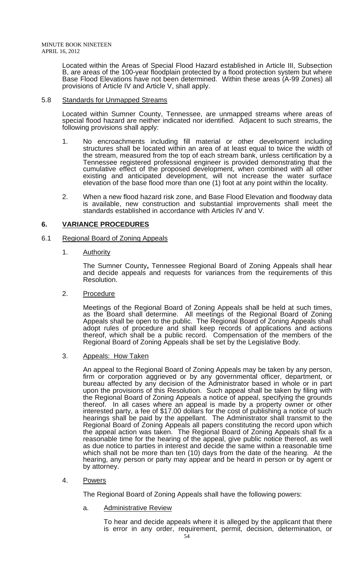Located within the Areas of Special Flood Hazard established in Article III, Subsection B, are areas of the 100-year floodplain protected by a flood protection system but where Base Flood Elevations have not been determined. Within these areas (A-99 Zones) all provisions of Article IV and Article V, shall apply.

#### 5.8 Standards for Unmapped Streams

 Located within Sumner County, Tennessee, are unmapped streams where areas of special flood hazard are neither indicated nor identified. Adjacent to such streams, the following provisions shall apply:

- 1. No encroachments including fill material or other development including structures shall be located within an area of at least equal to twice the width of the stream, measured from the top of each stream bank, unless certification by a Tennessee registered professional engineer is provided demonstrating that the cumulative effect of the proposed development, when combined with all other existing and anticipated development, will not increase the water surface elevation of the base flood more than one (1) foot at any point within the locality.
- 2. When a new flood hazard risk zone, and Base Flood Elevation and floodway data is available, new construction and substantial improvements shall meet the standards established in accordance with Articles IV and V.

# **6. VARIANCE PROCEDURES**

- 6.1 Regional Board of Zoning Appeals
	- 1. Authority

The Sumner County**,** Tennessee Regional Board of Zoning Appeals shall hear and decide appeals and requests for variances from the requirements of this Resolution.

2. Procedure

Meetings of the Regional Board of Zoning Appeals shall be held at such times, as the Board shall determine. All meetings of the Regional Board of Zoning Appeals shall be open to the public. The Regional Board of Zoning Appeals shall adopt rules of procedure and shall keep records of applications and actions thereof, which shall be a public record. Compensation of the members of the Regional Board of Zoning Appeals shall be set by the Legislative Body.

3. Appeals: How Taken

An appeal to the Regional Board of Zoning Appeals may be taken by any person, firm or corporation aggrieved or by any governmental officer, department, or bureau affected by any decision of the Administrator based in whole or in part upon the provisions of this Resolution. Such appeal shall be taken by filing with the Regional Board of Zoning Appeals a notice of appeal, specifying the grounds thereof. In all cases where an appeal is made by a property owner or other interested party, a fee of \$17.00 dollars for the cost of publishing a notice of such hearings shall be paid by the appellant. The Administrator shall transmit to the Regional Board of Zoning Appeals all papers constituting the record upon which the appeal action was taken. The Regional Board of Zoning Appeals shall fix a reasonable time for the hearing of the appeal, give public notice thereof, as well as due notice to parties in interest and decide the same within a reasonable time which shall not be more than ten (10) days from the date of the hearing. At the hearing, any person or party may appear and be heard in person or by agent or by attorney.

4. Powers

The Regional Board of Zoning Appeals shall have the following powers:

a. Administrative Review

To hear and decide appeals where it is alleged by the applicant that there is error in any order, requirement, permit, decision, determination, or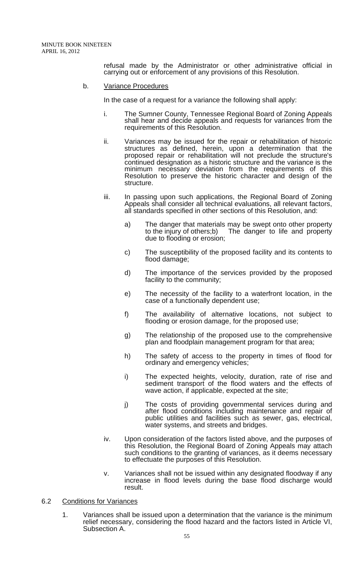refusal made by the Administrator or other administrative official in carrying out or enforcement of any provisions of this Resolution.

#### b. Variance Procedures

In the case of a request for a variance the following shall apply:

- i. The Sumner County, Tennessee Regional Board of Zoning Appeals shall hear and decide appeals and requests for variances from the requirements of this Resolution.
- ii. Variances may be issued for the repair or rehabilitation of historic structures as defined, herein, upon a determination that the proposed repair or rehabilitation will not preclude the structure's continued designation as a historic structure and the variance is the minimum necessary deviation from the requirements of this Resolution to preserve the historic character and design of the structure.
- iii. In passing upon such applications, the Regional Board of Zoning Appeals shall consider all technical evaluations, all relevant factors, all standards specified in other sections of this Resolution, and:
	- a) The danger that materials may be swept onto other property<br>to the injury of others;b) The danger to life and property The danger to life and property due to flooding or erosion;
	- c) The susceptibility of the proposed facility and its contents to flood damage;
	- d) The importance of the services provided by the proposed facility to the community;
	- e) The necessity of the facility to a waterfront location, in the case of a functionally dependent use;
	- f) The availability of alternative locations, not subject to flooding or erosion damage, for the proposed use;
	- g) The relationship of the proposed use to the comprehensive plan and floodplain management program for that area;
	- h) The safety of access to the property in times of flood for ordinary and emergency vehicles;
	- i) The expected heights, velocity, duration, rate of rise and sediment transport of the flood waters and the effects of wave action, if applicable, expected at the site;
	- j) The costs of providing governmental services during and after flood conditions including maintenance and repair of public utilities and facilities such as sewer, gas, electrical, water systems, and streets and bridges.
- iv. Upon consideration of the factors listed above, and the purposes of this Resolution, the Regional Board of Zoning Appeals may attach such conditions to the granting of variances, as it deems necessary to effectuate the purposes of this Resolution.
- v. Variances shall not be issued within any designated floodway if any increase in flood levels during the base flood discharge would result.

#### 6.2 Conditions for Variances

1. Variances shall be issued upon a determination that the variance is the minimum relief necessary, considering the flood hazard and the factors listed in Article VI, Subsection A.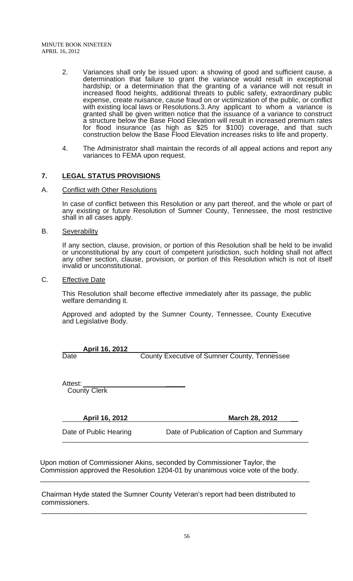- 2. Variances shall only be issued upon: a showing of good and sufficient cause, a determination that failure to grant the variance would result in exceptional hardship; or a determination that the granting of a variance will not result in increased flood heights, additional threats to public safety, extraordinary public expense, create nuisance, cause fraud on or victimization of the public, or conflict with existing local laws or Resolutions.3. Any applicant to whom a variance is granted shall be given written notice that the issuance of a variance to construct a structure below the Base Flood Elevation will result in increased premium rates for flood insurance (as high as \$25 for \$100) coverage, and that such construction below the Base Flood Elevation increases risks to life and property.
- 4. The Administrator shall maintain the records of all appeal actions and report any variances to FEMA upon request.

# **7. LEGAL STATUS PROVISIONS**

A. Conflict with Other Resolutions

 In case of conflict between this Resolution or any part thereof, and the whole or part of any existing or future Resolution of Sumner County, Tennessee, the most restrictive shall in all cases apply.

B. Severability

 If any section, clause, provision, or portion of this Resolution shall be held to be invalid or unconstitutional by any court of competent jurisdiction, such holding shall not affect any other section, clause, provision, or portion of this Resolution which is not of itself invalid or unconstitutional.

C. **Effective Date** 

 This Resolution shall become effective immediately after its passage, the public welfare demanding it.

Approved and adopted by the Sumner County, Tennessee, County Executive and Legislative Body.

**April 16, 2012**<br>Date

County Executive of Sumner County, Tennessee

Attest: **\_\_\_\_\_** County Clerk

**April 16, 2012** March 28, 2012

Date of Public Hearing Date of Publication of Caption and Summary

Upon motion of Commissioner Akins, seconded by Commissioner Taylor, the Commission approved the Resolution 1204-01 by unanimous voice vote of the body.

\_\_\_\_\_\_\_\_\_\_\_\_\_\_\_\_\_\_\_\_\_\_\_\_\_\_\_\_\_\_\_\_\_\_\_\_\_\_\_\_\_\_\_\_\_\_\_\_\_\_\_\_\_\_\_\_\_\_\_\_\_\_\_\_\_\_\_\_\_\_

\_\_\_\_\_\_\_\_\_\_\_\_\_\_\_\_\_\_\_\_\_\_\_\_\_\_\_\_\_\_\_\_\_\_\_\_\_\_\_\_\_\_\_\_\_\_\_\_\_\_\_\_\_\_\_\_\_\_\_\_\_\_\_\_\_\_\_\_\_

Chairman Hyde stated the Sumner County Veteran's report had been distributed to commissioners.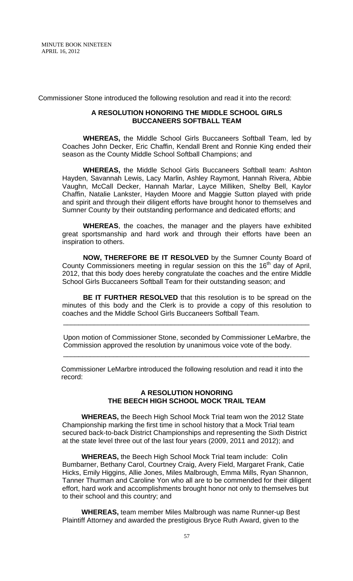Commissioner Stone introduced the following resolution and read it into the record:

#### **A RESOLUTION HONORING THE MIDDLE SCHOOL GIRLS BUCCANEERS SOFTBALL TEAM**

**WHEREAS,** the Middle School Girls Buccaneers Softball Team, led by Coaches John Decker, Eric Chaffin, Kendall Brent and Ronnie King ended their season as the County Middle School Softball Champions; and

**WHEREAS,** the Middle School Girls Buccaneers Softball team: Ashton Hayden, Savannah Lewis, Lacy Marlin, Ashley Raymont, Hannah Rivera, Abbie Vaughn, McCall Decker, Hannah Marlar, Layce Milliken, Shelby Bell, Kaylor Chaffin, Natalie Lankster, Hayden Moore and Maggie Sutton played with pride and spirit and through their diligent efforts have brought honor to themselves and Sumner County by their outstanding performance and dedicated efforts; and

**WHEREAS**, the coaches, the manager and the players have exhibited great sportsmanship and hard work and through their efforts have been an inspiration to others.

**NOW, THEREFORE BE IT RESOLVED** by the Sumner County Board of County Commissioners meeting in regular session on this the  $16<sup>th</sup>$  day of April, 2012, that this body does hereby congratulate the coaches and the entire Middle School Girls Buccaneers Softball Team for their outstanding season; and

**BE IT FURTHER RESOLVED** that this resolution is to be spread on the minutes of this body and the Clerk is to provide a copy of this resolution to coaches and the Middle School Girls Buccaneers Softball Team.

\_\_\_\_\_\_\_\_\_\_\_\_\_\_\_\_\_\_\_\_\_\_\_\_\_\_\_\_\_\_\_\_\_\_\_\_\_\_\_\_\_\_\_\_\_\_\_\_\_\_\_\_\_\_\_\_\_\_\_\_\_\_\_\_

\_\_\_\_\_\_\_\_\_\_\_\_\_\_\_\_\_\_\_\_\_\_\_\_\_\_\_\_\_\_\_\_\_\_\_\_\_\_\_\_\_\_\_\_\_\_\_\_\_\_\_\_\_\_\_\_\_\_\_\_\_\_\_\_

Upon motion of Commissioner Stone, seconded by Commissioner LeMarbre, the Commission approved the resolution by unanimous voice vote of the body.

 Commissioner LeMarbre introduced the following resolution and read it into the record:

#### **A RESOLUTION HONORING THE BEECH HIGH SCHOOL MOCK TRAIL TEAM**

 **WHEREAS,** the Beech High School Mock Trial team won the 2012 State Championship marking the first time in school history that a Mock Trial team secured back-to-back District Championships and representing the Sixth District at the state level three out of the last four years (2009, 2011 and 2012); and

 **WHEREAS,** the Beech High School Mock Trial team include: Colin Bumbarner, Bethany Carol, Courtney Craig, Avery Field, Margaret Frank, Catie Hicks, Emily Higgins, Allie Jones, Miles Malbrough, Emma Mills, Ryan Shannon, Tanner Thurman and Caroline Yon who all are to be commended for their diligent effort, hard work and accomplishments brought honor not only to themselves but to their school and this country; and

 **WHEREAS,** team member Miles Malbrough was name Runner-up Best Plaintiff Attorney and awarded the prestigious Bryce Ruth Award, given to the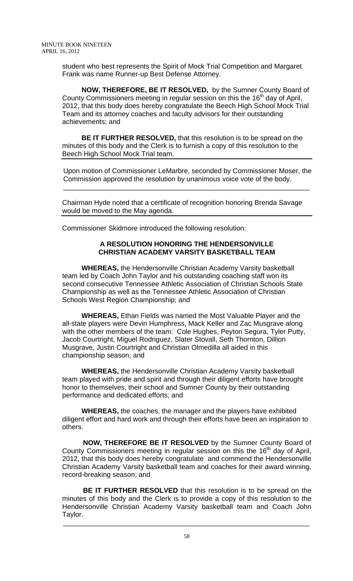student who best represents the Spirit of Mock Trial Competition and Margaret Frank was name Runner-up Best Defense Attorney.

 **NOW, THEREFORE, BE IT RESOLVED,** by the Sumner County Board of County Commissioners meeting in regular session on this the  $16<sup>th</sup>$  day of April, 2012, that this body does hereby congratulate the Beech High School Mock Trial Team and its attorney coaches and faculty advisors for their outstanding achievements; and

 **BE IT FURTHER RESOLVED,** that this resolution is to be spread on the minutes of this body and the Clerk is to furnish a copy of this resolution to the Beech High School Mock Trial team.

Upon motion of Commissioner LeMarbre, seconded by Commissioner Moser, the Commission approved the resolution by unanimous voice vote of the body.

Chairman Hyde noted that a certificate of recognition honoring Brenda Savage would be moved to the May agenda.

\_\_\_\_\_\_\_\_\_\_\_\_\_\_\_\_\_\_\_\_\_\_\_\_\_\_\_\_\_\_\_\_\_\_\_\_\_\_\_\_\_\_\_\_\_\_\_\_\_\_\_\_\_\_\_\_\_\_\_\_\_\_\_\_

Commissioner Skidmore introduced the following resolution:

# **A RESOLUTION HONORING THE HENDERSONVILLE CHRISTIAN ACADEMY VARSITY BASKETBALL TEAM**

 **WHEREAS,** the Hendersonville Christian Academy Varsity basketball team led by Coach John Taylor and his outstanding coaching staff won its second consecutive Tennessee Athletic Association of Christian Schools State Championship as well as the Tennessee Athletic Association of Christian Schools West Region Championship; and

 **WHEREAS,** Ethan Fields was named the Most Valuable Player and the all-state players were Devin Humphress, Mack Keller and Zac Musgrave along with the other members of the team: Cole Hughes, Peyton Segura, Tyler Putty, Jacob Courtright, Miguel Rodriguez, Slater Stovall, Seth Thornton, Dillion Musgrave, Justin Courtright and Christian Olmedilla all aided in this championship season; and

 **WHEREAS,** the Hendersonville Christian Academy Varsity basketball team played with pride and spirit and through their diligent efforts have brought honor to themselves, their school and Sumner County by their outstanding performance and dedicated efforts; and

 **WHEREAS,** the coaches, the manager and the players have exhibited diligent effort and hard work and through their efforts have been an inspiration to others.

**NOW, THEREFORE BE IT RESOLVED** by the Sumner County Board of County Commissioners meeting in regular session on this the 16<sup>th</sup> day of April, 2012, that this body does hereby congratulate and commend the Hendersonville Christian Academy Varsity basketball team and coaches for their award winning, record-breaking season; and

**BE IT FURTHER RESOLVED** that this resolution is to be spread on the minutes of this body and the Clerk is to provide a copy of this resolution to the Hendersonville Christian Academy Varsity basketball team and Coach John Taylor.

\_\_\_\_\_\_\_\_\_\_\_\_\_\_\_\_\_\_\_\_\_\_\_\_\_\_\_\_\_\_\_\_\_\_\_\_\_\_\_\_\_\_\_\_\_\_\_\_\_\_\_\_\_\_\_\_\_\_\_\_\_\_\_\_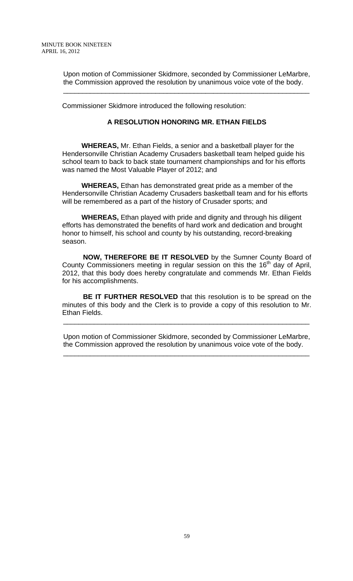Upon motion of Commissioner Skidmore, seconded by Commissioner LeMarbre, the Commission approved the resolution by unanimous voice vote of the body.

\_\_\_\_\_\_\_\_\_\_\_\_\_\_\_\_\_\_\_\_\_\_\_\_\_\_\_\_\_\_\_\_\_\_\_\_\_\_\_\_\_\_\_\_\_\_\_\_\_\_\_\_\_\_\_\_\_\_\_\_\_\_\_\_

Commissioner Skidmore introduced the following resolution:

#### **A RESOLUTION HONORING MR. ETHAN FIELDS**

 **WHEREAS,** Mr. Ethan Fields, a senior and a basketball player for the Hendersonville Christian Academy Crusaders basketball team helped guide his school team to back to back state tournament championships and for his efforts was named the Most Valuable Player of 2012; and

 **WHEREAS,** Ethan has demonstrated great pride as a member of the Hendersonville Christian Academy Crusaders basketball team and for his efforts will be remembered as a part of the history of Crusader sports; and

 **WHEREAS,** Ethan played with pride and dignity and through his diligent efforts has demonstrated the benefits of hard work and dedication and brought honor to himself, his school and county by his outstanding, record-breaking season.

**NOW, THEREFORE BE IT RESOLVED** by the Sumner County Board of County Commissioners meeting in regular session on this the  $16<sup>th</sup>$  day of April, 2012, that this body does hereby congratulate and commends Mr. Ethan Fields for his accomplishments.

**BE IT FURTHER RESOLVED** that this resolution is to be spread on the minutes of this body and the Clerk is to provide a copy of this resolution to Mr. Ethan Fields.

Upon motion of Commissioner Skidmore, seconded by Commissioner LeMarbre, the Commission approved the resolution by unanimous voice vote of the body.

\_\_\_\_\_\_\_\_\_\_\_\_\_\_\_\_\_\_\_\_\_\_\_\_\_\_\_\_\_\_\_\_\_\_\_\_\_\_\_\_\_\_\_\_\_\_\_\_\_\_\_\_\_\_\_\_\_\_\_\_\_\_\_\_

\_\_\_\_\_\_\_\_\_\_\_\_\_\_\_\_\_\_\_\_\_\_\_\_\_\_\_\_\_\_\_\_\_\_\_\_\_\_\_\_\_\_\_\_\_\_\_\_\_\_\_\_\_\_\_\_\_\_\_\_\_\_\_\_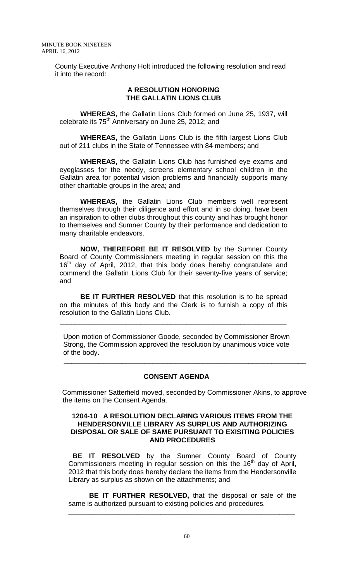County Executive Anthony Holt introduced the following resolution and read it into the record:

#### **A RESOLUTION HONORING THE GALLATIN LIONS CLUB**

**WHEREAS,** the Gallatin Lions Club formed on June 25, 1937, will celebrate its 75<sup>th</sup> Anniversary on June 25, 2012; and

**WHEREAS,** the Gallatin Lions Club is the fifth largest Lions Club out of 211 clubs in the State of Tennessee with 84 members; and

**WHEREAS,** the Gallatin Lions Club has furnished eye exams and eyeglasses for the needy, screens elementary school children in the Gallatin area for potential vision problems and financially supports many other charitable groups in the area; and

**WHEREAS,** the Gallatin Lions Club members well represent themselves through their diligence and effort and in so doing, have been an inspiration to other clubs throughout this county and has brought honor to themselves and Sumner County by their performance and dedication to many charitable endeavors.

**NOW, THEREFORE BE IT RESOLVED** by the Sumner County Board of County Commissioners meeting in regular session on this the  $16<sup>th</sup>$  day of April, 2012, that this body does hereby congratulate and commend the Gallatin Lions Club for their seventy-five years of service; and

**BE IT FURTHER RESOLVED** that this resolution is to be spread on the minutes of this body and the Clerk is to furnish a copy of this resolution to the Gallatin Lions Club.

 $\overline{\phantom{a}}$  ,  $\overline{\phantom{a}}$  ,  $\overline{\phantom{a}}$  ,  $\overline{\phantom{a}}$  ,  $\overline{\phantom{a}}$  ,  $\overline{\phantom{a}}$  ,  $\overline{\phantom{a}}$  ,  $\overline{\phantom{a}}$  ,  $\overline{\phantom{a}}$  ,  $\overline{\phantom{a}}$  ,  $\overline{\phantom{a}}$  ,  $\overline{\phantom{a}}$  ,  $\overline{\phantom{a}}$  ,  $\overline{\phantom{a}}$  ,  $\overline{\phantom{a}}$  ,  $\overline{\phantom{a}}$ 

Upon motion of Commissioner Goode, seconded by Commissioner Brown Strong, the Commission approved the resolution by unanimous voice vote of the body.

#### **CONSENT AGENDA**

\_\_\_\_\_\_\_\_\_\_\_\_\_\_\_\_\_\_\_\_\_\_\_\_\_\_\_\_\_\_\_\_\_\_\_\_\_\_\_\_\_\_\_\_\_\_\_\_\_\_\_\_\_\_\_\_\_\_\_\_\_\_\_

Commissioner Satterfield moved, seconded by Commissioner Akins, to approve the items on the Consent Agenda.

#### **1204-10 A RESOLUTION DECLARING VARIOUS ITEMS FROM THE HENDERSONVILLE LIBRARY AS SURPLUS AND AUTHORIZING DISPOSAL OR SALE OF SAME PURSUANT TO EXISITING POLICIES AND PROCEDURES**

 **BE IT RESOLVED** by the Sumner County Board of County Commissioners meeting in regular session on this the  $16<sup>th</sup>$  day of April, 2012 that this body does hereby declare the items from the Hendersonville Library as surplus as shown on the attachments; and

**BE IT FURTHER RESOLVED,** that the disposal or sale of the same is authorized pursuant to existing policies and procedures.

**\_\_\_\_\_\_\_\_\_\_\_\_\_\_\_\_\_\_\_\_\_\_\_\_\_\_\_\_\_\_\_\_\_\_\_\_\_\_\_\_\_\_\_\_\_\_\_\_\_\_\_\_\_\_\_\_\_\_\_**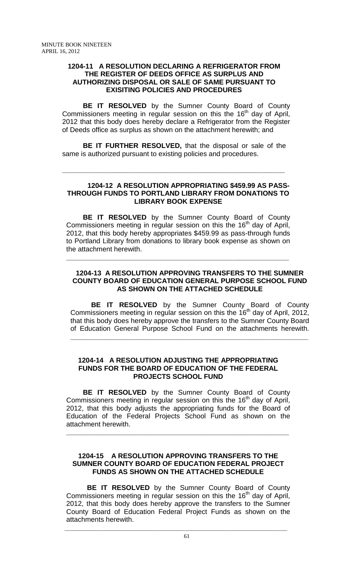# **1204-11 A RESOLUTION DECLARING A REFRIGERATOR FROM THE REGISTER OF DEEDS OFFICE AS SURPLUS AND AUTHORIZING DISPOSAL OR SALE OF SAME PURSUANT TO EXISITING POLICIES AND PROCEDURES**

 **BE IT RESOLVED** by the Sumner County Board of County Commissioners meeting in regular session on this the 16<sup>th</sup> day of April, 2012 that this body does hereby declare a Refrigerator from the Register of Deeds office as surplus as shown on the attachment herewith; and

**BE IT FURTHER RESOLVED,** that the disposal or sale of the same is authorized pursuant to existing policies and procedures.

**\_\_\_\_\_\_\_\_\_\_\_\_\_\_\_\_\_\_\_\_\_\_\_\_\_\_\_\_\_\_\_\_\_\_\_\_\_\_\_\_\_\_\_\_\_\_\_\_\_\_\_\_\_\_\_\_\_\_**

#### **1204-12 A RESOLUTION APPROPRIATING \$459.99 AS PASS-THROUGH FUNDS TO PORTLAND LIBRARY FROM DONATIONS TO LIBRARY BOOK EXPENSE**

**BE IT RESOLVED** by the Sumner County Board of County Commissioners meeting in regular session on this the 16<sup>th</sup> day of April, 2012, that this body hereby appropriates \$459.99 as pass-through funds to Portland Library from donations to library book expense as shown on the attachment herewith.

**\_\_\_\_\_\_\_\_\_\_\_\_\_\_\_\_\_\_\_\_\_\_\_\_\_\_\_\_\_\_\_\_\_\_\_\_\_\_\_\_\_\_\_\_\_\_\_\_\_\_\_\_\_\_\_\_\_\_**

# **1204-13 A RESOLUTION APPROVING TRANSFERS TO THE SUMNER COUNTY BOARD OF EDUCATION GENERAL PURPOSE SCHOOL FUND AS SHOWN ON THE ATTACHED SCHEDULE**

**BE IT RESOLVED** by the Sumner County Board of County Commissioners meeting in regular session on this the  $16<sup>th</sup>$  day of April, 2012, that this body does hereby approve the transfers to the Sumner County Board of Education General Purpose School Fund on the attachments herewith.

**\_\_\_\_\_\_\_\_\_\_\_\_\_\_\_\_\_\_\_\_\_\_\_\_\_\_\_\_\_\_\_\_\_\_\_\_\_\_\_\_\_\_\_\_\_\_\_\_\_\_\_\_\_\_\_\_\_\_\_\_\_\_**

#### **1204-14 A RESOLUTION ADJUSTING THE APPROPRIATING FUNDS FOR THE BOARD OF EDUCATION OF THE FEDERAL PROJECTS SCHOOL FUND**

 **BE IT RESOLVED** by the Sumner County Board of County Commissioners meeting in regular session on this the  $16<sup>th</sup>$  day of April, 2012, that this body adjusts the appropriating funds for the Board of Education of the Federal Projects School Fund as shown on the attachment herewith.

**\_\_\_\_\_\_\_\_\_\_\_\_\_\_\_\_\_\_\_\_\_\_\_\_\_\_\_\_\_\_\_\_\_\_\_\_\_\_\_\_\_\_\_\_\_\_\_\_\_\_\_\_\_\_\_\_\_\_**

# **1204-15 A RESOLUTION APPROVING TRANSFERS TO THE SUMNER COUNTY BOARD OF EDUCATION FEDERAL PROJECT FUNDS AS SHOWN ON THE ATTACHED SCHEDULE**

**BE IT RESOLVED** by the Sumner County Board of County Commissioners meeting in regular session on this the  $16<sup>th</sup>$  day of April, 2012, that this body does hereby approve the transfers to the Sumner County Board of Education Federal Project Funds as shown on the attachments herewith.

 **\_\_\_\_\_\_\_\_\_\_\_\_\_\_\_\_\_\_\_\_\_\_\_\_\_\_\_\_\_\_\_\_\_\_\_\_\_\_\_\_\_\_\_\_\_\_\_\_\_\_\_\_\_\_\_\_\_\_**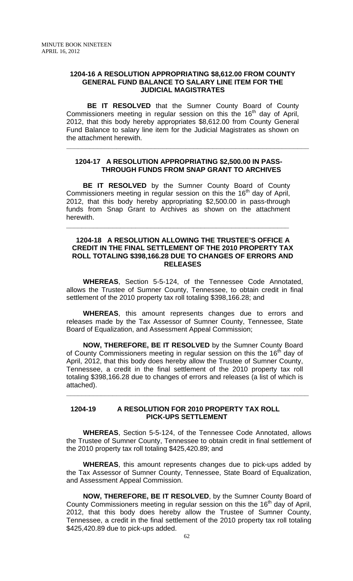#### **1204-16 A RESOLUTION APPROPRIATING \$8,612.00 FROM COUNTY GENERAL FUND BALANCE TO SALARY LINE ITEM FOR THE JUDICIAL MAGISTRATES**

**BE IT RESOLVED** that the Sumner County Board of County Commissioners meeting in regular session on this the 16<sup>th</sup> day of April, 2012, that this body hereby appropriates \$8,612.00 from County General Fund Balance to salary line item for the Judicial Magistrates as shown on the attachment herewith.

#### **1204-17 A RESOLUTION APPROPRIATING \$2,500.00 IN PASS- THROUGH FUNDS FROM SNAP GRANT TO ARCHIVES**

 **\_\_\_\_\_\_\_\_\_\_\_\_\_\_\_\_\_\_\_\_\_\_\_\_\_\_\_\_\_\_\_\_\_\_\_\_\_\_\_\_\_\_\_\_\_\_\_\_\_\_\_\_\_\_\_\_\_\_\_\_\_\_\_** 

**BE IT RESOLVED** by the Sumner County Board of County Commissioners meeting in regular session on this the  $16<sup>th</sup>$  day of April, 2012, that this body hereby appropriating \$2,500.00 in pass-through funds from Snap Grant to Archives as shown on the attachment herewith.

**\_\_\_\_\_\_\_\_\_\_\_\_\_\_\_\_\_\_\_\_\_\_\_\_\_\_\_\_\_\_\_\_\_\_\_\_\_\_\_\_\_\_\_\_\_\_\_\_\_\_\_\_\_\_\_\_\_\_**

#### **1204-18 A RESOLUTION ALLOWING THE TRUSTEE'S OFFICE A CREDIT IN THE FINAL SETTLEMENT OF THE 2010 PROPERTY TAX ROLL TOTALING \$398,166.28 DUE TO CHANGES OF ERRORS AND RELEASES**

 **WHEREAS**, Section 5-5-124, of the Tennessee Code Annotated, allows the Trustee of Sumner County, Tennessee, to obtain credit in final settlement of the 2010 property tax roll totaling \$398,166.28; and

**WHEREAS**, this amount represents changes due to errors and releases made by the Tax Assessor of Sumner County, Tennessee, State Board of Equalization, and Assessment Appeal Commission;

**NOW, THEREFORE, BE IT RESOLVED** by the Sumner County Board of County Commissioners meeting in regular session on this the 16<sup>th</sup> day of April, 2012, that this body does hereby allow the Trustee of Sumner County, Tennessee, a credit in the final settlement of the 2010 property tax roll totaling \$398,166.28 due to changes of errors and releases (a list of which is attached).

**\_\_\_\_\_\_\_\_\_\_\_\_\_\_\_\_\_\_\_\_\_\_\_\_\_\_\_\_\_\_\_\_\_\_\_\_\_\_\_\_\_\_\_\_\_\_\_\_\_\_\_\_\_\_\_\_\_\_\_\_\_\_\_**

#### **1204-19 A RESOLUTION FOR 2010 PROPERTY TAX ROLL PICK-UPS SETTLEMENT**

 **WHEREAS**, Section 5-5-124, of the Tennessee Code Annotated, allows the Trustee of Sumner County, Tennessee to obtain credit in final settlement of the 2010 property tax roll totaling \$425,420.89; and

**WHEREAS**, this amount represents changes due to pick-ups added by the Tax Assessor of Sumner County, Tennessee, State Board of Equalization, and Assessment Appeal Commission.

**NOW, THEREFORE, BE IT RESOLVED**, by the Sumner County Board of County Commissioners meeting in regular session on this the  $16<sup>th</sup>$  day of April, 2012, that this body does hereby allow the Trustee of Sumner County, Tennessee, a credit in the final settlement of the 2010 property tax roll totaling \$425,420.89 due to pick-ups added.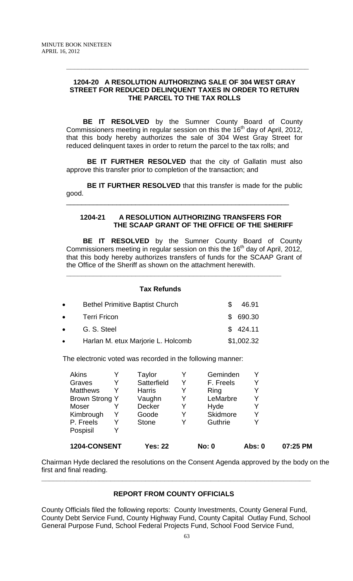# **1204-20 A RESOLUTION AUTHORIZING SALE OF 304 WEST GRAY STREET FOR REDUCED DELINQUENT TAXES IN ORDER TO RETURN THE PARCEL TO THE TAX ROLLS**

**\_\_\_\_\_\_\_\_\_\_\_\_\_\_\_\_\_\_\_\_\_\_\_\_\_\_\_\_\_\_\_\_\_\_\_\_\_\_\_\_\_\_\_\_\_\_\_\_\_\_\_\_\_\_\_\_\_\_\_\_\_\_\_**

 **BE IT RESOLVED** by the Sumner County Board of County Commissioners meeting in regular session on this the 16<sup>th</sup> day of April, 2012, that this body hereby authorizes the sale of 304 West Gray Street for reduced delinquent taxes in order to return the parcel to the tax rolls; and

**BE IT FURTHER RESOLVED** that the city of Gallatin must also approve this transfer prior to completion of the transaction; and

**BE IT FURTHER RESOLVED** that this transfer is made for the public good.

\_\_\_\_\_\_\_\_\_\_\_\_\_\_\_\_\_\_\_\_\_\_\_\_\_\_\_\_\_\_\_\_\_\_\_\_\_\_\_\_\_\_\_\_\_\_\_\_\_\_\_\_\_\_\_\_\_\_

#### **1204-21 A RESOLUTION AUTHORIZING TRANSFERS FOR THE SCAAP GRANT OF THE OFFICE OF THE SHERIFF**

 **BE IT RESOLVED** by the Sumner County Board of County Commissioners meeting in regular session on this the  $16<sup>th</sup>$  day of April, 2012, that this body hereby authorizes transfers of funds for the SCAAP Grant of the Office of the Sheriff as shown on the attachment herewith.

# **Tax Refunds**  • Bethel Primitive Baptist Church \$ 46.91 • Terri Fricon \$ 690.30 **• G. S. Steel \$ 424.11** • Harlan M. etux Marjorie L. Holcomb \$1,002.32

**\_\_\_\_\_\_\_\_\_\_\_\_\_\_\_\_\_\_\_\_\_\_\_\_\_\_\_\_\_\_\_\_\_\_\_\_\_\_\_\_\_\_\_\_\_\_\_\_\_\_\_\_\_\_\_\_**

The electronic voted was recorded in the following manner:

| 1204-CONSENT          |   | <b>Yes: 22</b> |   | <b>No: 0</b> | Abs: 0 | 07:25 PM |
|-----------------------|---|----------------|---|--------------|--------|----------|
| Pospisil              | Y |                |   |              |        |          |
| P. Freels             | Y | Stone          |   | Guthrie      |        |          |
| Kimbrough             | Y | Goode          |   | Skidmore     |        |          |
| Moser                 |   | <b>Decker</b>  | Y | Hyde         |        |          |
| <b>Brown Strong Y</b> |   | Vaughn         | Y | LeMarbre     |        |          |
| <b>Matthews</b>       | Y | <b>Harris</b>  |   | Ring         |        |          |
| Graves                | Y | Satterfield    | Y | F. Freels    |        |          |
| Akins                 |   | Taylor         |   | Geminden     |        |          |

Chairman Hyde declared the resolutions on the Consent Agenda approved by the body on the first and final reading.

# **REPORT FROM COUNTY OFFICIALS**

**\_\_\_\_\_\_\_\_\_\_\_\_\_\_\_\_\_\_\_\_\_\_\_\_\_\_\_\_\_\_\_\_\_\_\_\_\_\_\_\_\_\_\_\_\_\_\_\_\_\_\_\_\_\_\_\_\_\_\_\_\_\_\_\_\_\_\_\_\_\_** 

County Officials filed the following reports: County Investments, County General Fund, County Debt Service Fund, County Highway Fund, County Capital Outlay Fund, School General Purpose Fund, School Federal Projects Fund, School Food Service Fund,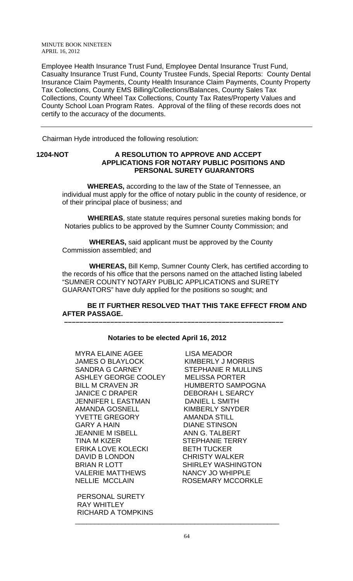Employee Health Insurance Trust Fund, Employee Dental Insurance Trust Fund, Casualty Insurance Trust Fund, County Trustee Funds, Special Reports: County Dental Insurance Claim Payments, County Health Insurance Claim Payments, County Property Tax Collections, County EMS Billing/Collections/Balances, County Sales Tax Collections, County Wheel Tax Collections, County Tax Rates/Property Values and County School Loan Program Rates. Approval of the filing of these records does not certify to the accuracy of the documents.

Chairman Hyde introduced the following resolution:

#### **1204-NOT A RESOLUTION TO APPROVE AND ACCEPT APPLICATIONS FOR NOTARY PUBLIC POSITIONS AND PERSONAL SURETY GUARANTORS**

 **WHEREAS,** according to the law of the State of Tennessee, an individual must apply for the office of notary public in the county of residence, or of their principal place of business; and

 **WHEREAS**, state statute requires personal sureties making bonds for Notaries publics to be approved by the Sumner County Commission; and

 **WHEREAS,** said applicant must be approved by the County Commission assembled; and

 **WHEREAS,** Bill Kemp, Sumner County Clerk, has certified according to the records of his office that the persons named on the attached listing labeled "SUMNER COUNTY NOTARY PUBLIC APPLICATIONS and SURETY GUARANTORS" have duly applied for the positions so sought; and

#### **BE IT FURTHER RESOLVED THAT THIS TAKE EFFECT FROM AND AFTER PASSAGE. –––––––––––––––––––––––––––––––––––––––––––––––––––––––––**

# **Notaries to be elected April 16, 2012**

MYRA ELAINE AGEE LISA MEADOR JAMES O BLAYLOCK KIMBERLY J MORRIS SANDRA G CARNEY STEPHANIE R MULLINS ASHLEY GEORGE COOLEY MELISSA PORTER BILL M CRAVEN JR HUMBERTO SAMPOGNA JANICE C DRAPER DEBORAH L SEARCY JENNIFER L EASTMAN DANIEL L SMITH AMANDA GOSNELL KIMBERLY SNYDER YVETTE GREGORY AMANDA STILL GARY A HAIN DIANE STINSON JEANNIE M ISBELL ANN G. TALBERT TINA M KIZER STEPHANIE TERRY ERIKA LOVE KOLECKI BETH TUCKER DAVID B LONDON CHRISTY WALKER BRIAN R LOTT SHIRLEY WASHINGTON VALERIE MATTHEWS NANCY JO WHIPPLE NELLIE MCCLAIN ROSEMARY MCCORKLE

 PERSONAL SURETY RAY WHITLEY RICHARD A TOMPKINS

\_\_\_\_\_\_\_\_\_\_\_\_\_\_\_\_\_\_\_\_\_\_\_\_\_\_\_\_\_\_\_\_\_\_\_\_\_\_\_\_\_\_\_\_\_\_\_\_\_\_\_\_\_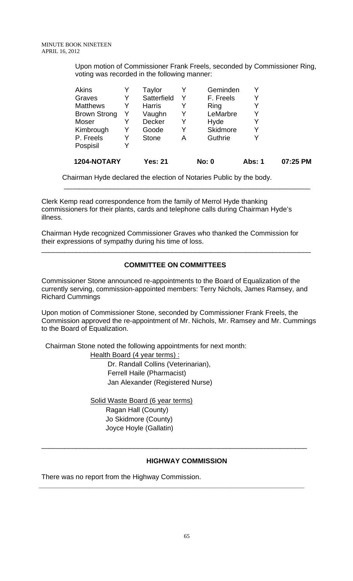Upon motion of Commissioner Frank Freels, seconded by Commissioner Ring, voting was recorded in the following manner:

| Akins               |   | Taylor        |   | Geminden     |        |          |
|---------------------|---|---------------|---|--------------|--------|----------|
| Graves              | Y | Satterfield   | Y | F. Freels    | Y      |          |
| <b>Matthews</b>     | Y | <b>Harris</b> | Y | Ring         |        |          |
| <b>Brown Strong</b> |   | Vaughn        | Y | LeMarbre     |        |          |
| Moser               |   | <b>Decker</b> | Y | Hyde         | Y      |          |
| Kimbrough           |   | Goode         | Y | Skidmore     |        |          |
| P. Freels           | Y | <b>Stone</b>  | А | Guthrie      |        |          |
| Pospisil            | V |               |   |              |        |          |
| 1204-NOTARY         |   | Yes: 21       |   | <b>No: 0</b> | Abs: 1 | 07:25 PM |

Chairman Hyde declared the election of Notaries Public by the body.

\_\_\_\_\_\_\_\_\_\_\_\_\_\_\_\_\_\_\_\_\_\_\_\_\_\_\_\_\_\_\_\_\_\_\_\_\_\_\_\_\_\_\_\_\_\_\_\_\_\_\_\_\_\_\_\_\_\_\_\_\_\_\_\_

Clerk Kemp read correspondence from the family of Merrol Hyde thanking commissioners for their plants, cards and telephone calls during Chairman Hyde's illness.

Chairman Hyde recognized Commissioner Graves who thanked the Commission for their expressions of sympathy during his time of loss.

# **COMMITTEE ON COMMITTEES**

\_\_\_\_\_\_\_\_\_\_\_\_\_\_\_\_\_\_\_\_\_\_\_\_\_\_\_\_\_\_\_\_\_\_\_\_\_\_\_\_\_\_\_\_\_\_\_\_\_\_\_\_\_\_\_\_\_\_\_\_\_\_\_\_\_\_\_\_\_\_

Commissioner Stone announced re-appointments to the Board of Equalization of the currently serving, commission-appointed members: Terry Nichols, James Ramsey, and Richard Cummings

Upon motion of Commissioner Stone, seconded by Commissioner Frank Freels, the Commission approved the re-appointment of Mr. Nichols, Mr. Ramsey and Mr. Cummings to the Board of Equalization.

Chairman Stone noted the following appointments for next month:

Health Board (4 year terms) : Dr. Randall Collins (Veterinarian), Ferrell Haile (Pharmacist) Jan Alexander (Registered Nurse)

Solid Waste Board (6 year terms) Ragan Hall (County) Jo Skidmore (County) Joyce Hoyle (Gallatin)

#### **HIGHWAY COMMISSION**

\_\_\_\_\_\_\_\_\_\_\_\_\_\_\_\_\_\_\_\_\_\_\_\_\_\_\_\_\_\_\_\_\_\_\_\_\_\_\_\_\_\_\_\_\_\_\_\_\_\_\_\_\_\_\_\_\_\_\_\_\_\_\_\_\_\_\_\_\_

**\_\_\_\_\_\_\_\_\_\_\_\_\_\_\_\_\_\_\_\_\_\_\_\_\_\_\_\_\_\_\_\_\_\_\_\_\_\_\_\_\_\_\_\_\_\_\_\_\_\_\_\_\_\_\_\_\_\_\_\_\_\_\_\_\_\_\_\_\_** 

There was no report from the Highway Commission.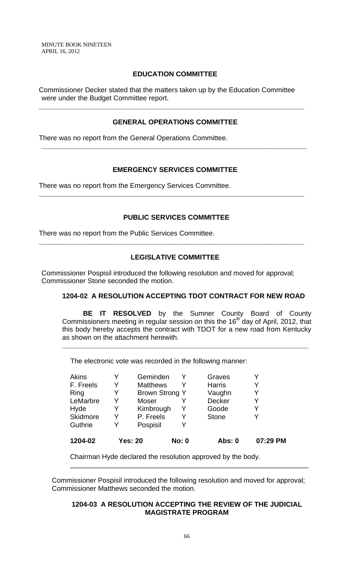#### **EDUCATION COMMITTEE**

Commissioner Decker stated that the matters taken up by the Education Committee were under the Budget Committee report.

# **GENERAL OPERATIONS COMMITTEE**

**\_\_\_\_\_\_\_\_\_\_\_\_\_\_\_\_\_\_\_\_\_\_\_\_\_\_\_\_\_\_\_\_\_\_\_\_\_\_\_\_\_\_\_\_\_\_\_\_\_\_\_\_\_\_\_\_\_\_\_\_\_\_\_\_\_\_\_\_\_** 

**\_\_\_\_\_\_\_\_\_\_\_\_\_\_\_\_\_\_\_\_\_\_\_\_\_\_\_\_\_\_\_\_\_\_\_\_\_\_\_\_\_\_\_\_\_\_\_\_\_\_\_\_\_\_\_\_\_\_\_\_\_\_\_\_\_\_\_\_\_** 

There was no report from the General Operations Committee.

# **EMERGENCY SERVICES COMMITTEE**

**\_\_\_\_\_\_\_\_\_\_\_\_\_\_\_\_\_\_\_\_\_\_\_\_\_\_\_\_\_\_\_\_\_\_\_\_\_\_\_\_\_\_\_\_\_\_\_\_\_\_\_\_\_\_\_\_\_\_\_\_\_\_\_\_\_\_\_\_\_** 

There was no report from the Emergency Services Committee.

# **PUBLIC SERVICES COMMITTEE**

There was no report from the Public Services Committee.

# **LEGISLATIVE COMMITTEE**

**\_\_\_\_\_\_\_\_\_\_\_\_\_\_\_\_\_\_\_\_\_\_\_\_\_\_\_\_\_\_\_\_\_\_\_\_\_\_\_\_\_\_\_\_\_\_\_\_\_\_\_\_\_\_\_\_\_\_\_\_\_\_\_\_\_\_\_\_\_** 

Commissioner Pospisil introduced the following resolution and moved for approval; Commissioner Stone seconded the motion.

# **1204-02 A RESOLUTION ACCEPTING TDOT CONTRACT FOR NEW ROAD**

**BE IT RESOLVED** by the Sumner County Board of County Commissioners meeting in regular session on this the  $16<sup>th</sup>$  day of April, 2012, that this body hereby accepts the contract with TDOT for a new road from Kentucky as shown on the attachment herewith.

**\_\_\_\_\_\_\_\_\_\_\_\_\_\_\_\_\_\_\_\_\_\_\_\_\_\_\_\_\_\_\_\_\_\_\_\_\_\_\_\_\_\_\_\_\_\_\_\_\_\_\_\_\_\_\_\_\_\_\_\_\_\_\_\_**

The electronic vote was recorded in the following manner:

| 1204-02         |   | <b>Yes: 20</b>        | <b>No: 0</b> | Abs: 0        | 07:29 PM |
|-----------------|---|-----------------------|--------------|---------------|----------|
| Guthrie         | V | Pospisil              |              |               |          |
| <b>Skidmore</b> | Y | P. Freels             |              | <b>Stone</b>  |          |
| Hyde            | Y | Kimbrough             |              | Goode         | γ        |
| LeMarbre        | Y | <b>Moser</b>          |              | Decker        | Y        |
| Ring            | Y | <b>Brown Strong Y</b> |              | Vaughn        | Y        |
| F. Freels       | Y | <b>Matthews</b>       |              | <b>Harris</b> | Y        |
| <b>Akins</b>    | Y | Geminden              |              | Graves        |          |

Chairman Hyde declared the resolution approved by the body.

Commissioner Pospisil introduced the following resolution and moved for approval; Commissioner Matthews seconded the motion.

# **1204-03 A RESOLUTION ACCEPTING THE REVIEW OF THE JUDICIAL MAGISTRATE PROGRAM**

\_\_\_\_\_\_\_\_\_\_\_\_\_\_\_\_\_\_\_\_\_\_\_\_\_\_\_\_\_\_\_\_\_\_\_\_\_\_\_\_\_\_\_\_\_\_\_\_\_\_\_\_\_\_\_\_\_\_\_\_\_\_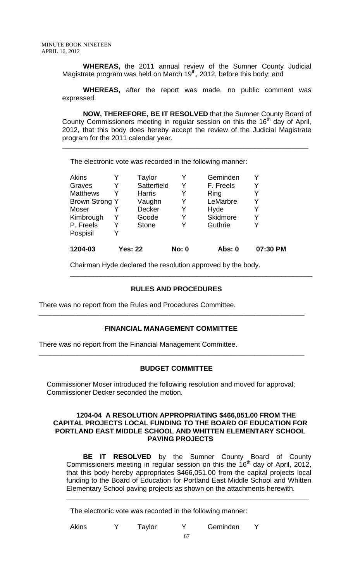**WHEREAS,** the 2011 annual review of the Sumner County Judicial Magistrate program was held on March  $19<sup>th</sup>$ , 2012, before this body; and

**WHEREAS,** after the report was made, no public comment was expressed.

**NOW, THEREFORE, BE IT RESOLVED** that the Sumner County Board of County Commissioners meeting in regular session on this the 16<sup>th</sup> day of April, 2012, that this body does hereby accept the review of the Judicial Magistrate program for the 2011 calendar year.

**\_\_\_\_\_\_\_\_\_\_\_\_\_\_\_\_\_\_\_\_\_\_\_\_\_\_\_\_\_\_\_\_\_\_\_\_\_\_\_\_\_\_\_\_\_\_\_\_\_\_\_\_\_\_\_\_\_\_\_\_\_\_\_\_** 

The electronic vote was recorded in the following manner:

|                       | Taylor        |                | Geminden      |          |
|-----------------------|---------------|----------------|---------------|----------|
| Y                     | Satterfield   | Y              | F. Freels     | Y        |
|                       | <b>Harris</b> |                | Ring          |          |
| <b>Brown Strong Y</b> | Vaughn        | Y              | LeMarbre      | Y        |
|                       | <b>Decker</b> | Y              | Hyde          | Y        |
|                       | Goode         |                | Skidmore      | Y        |
| Y                     | <b>Stone</b>  |                | Guthrie       | Y        |
|                       |               |                |               |          |
|                       |               | <b>No: 0</b>   | <b>Abs: 0</b> | 07:30 PM |
|                       |               | <b>Yes: 22</b> |               |          |

Chairman Hyde declared the resolution approved by the body.

# **RULES AND PROCEDURES**

\_\_\_\_\_\_\_\_\_\_\_\_\_\_\_\_\_\_\_\_\_\_\_\_\_\_\_\_\_\_\_\_\_\_\_\_\_\_\_\_\_\_\_\_\_\_\_\_\_\_\_\_\_\_\_\_\_\_\_\_\_\_\_

There was no report from the Rules and Procedures Committee.

# **FINANCIAL MANAGEMENT COMMITTEE**

**\_\_\_\_\_\_\_\_\_\_\_\_\_\_\_\_\_\_\_\_\_\_\_\_\_\_\_\_\_\_\_\_\_\_\_\_\_\_\_\_\_\_\_\_\_\_\_\_\_\_\_\_\_\_\_\_\_\_\_\_\_\_\_\_\_\_\_\_\_** 

**\_\_\_\_\_\_\_\_\_\_\_\_\_\_\_\_\_\_\_\_\_\_\_\_\_\_\_\_\_\_\_\_\_\_\_\_\_\_\_\_\_\_\_\_\_\_\_\_\_\_\_\_\_\_\_\_\_\_\_\_\_\_\_\_\_\_\_\_\_** 

There was no report from the Financial Management Committee.

#### **BUDGET COMMITTEE**

Commissioner Moser introduced the following resolution and moved for approval; Commissioner Decker seconded the motion.

#### **1204-04 A RESOLUTION APPROPRIATING \$466,051.00 FROM THE CAPITAL PROJECTS LOCAL FUNDING TO THE BOARD OF EDUCATION FOR PORTLAND EAST MIDDLE SCHOOL AND WHITTEN ELEMENTARY SCHOOL PAVING PROJECTS**

 **BE IT RESOLVED** by the Sumner County Board of County Commissioners meeting in regular session on this the  $16<sup>th</sup>$  day of April, 2012, that this body hereby appropriates \$466,051.00 from the capital projects local funding to the Board of Education for Portland East Middle School and Whitten Elementary School paving projects as shown on the attachments herewith.

**\_\_\_\_\_\_\_\_\_\_\_\_\_\_\_\_\_\_\_\_\_\_\_\_\_\_\_\_\_\_\_\_\_\_\_\_\_\_\_\_\_\_\_\_\_\_\_\_\_\_\_\_\_\_\_\_\_\_\_\_\_\_\_**

The electronic vote was recorded in the following manner:

Akins Y Taylor Y Geminden Y

67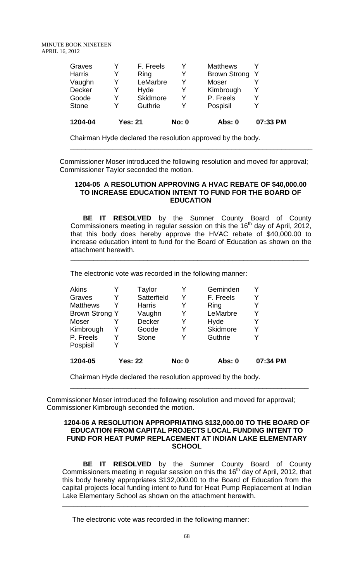| 1204-04       |   | <b>Yes: 21</b> | <b>No: 0</b> | Abs: 0              | 07:33 PM |
|---------------|---|----------------|--------------|---------------------|----------|
| <b>Stone</b>  | Y | Guthrie        |              | Pospisil            |          |
| Goode         | Y | Skidmore       |              | P. Freels           | Y        |
| <b>Decker</b> | Y | Hyde           |              | Kimbrough           |          |
| Vaughn        | Y | LeMarbre       | Y            | Moser               |          |
| <b>Harris</b> | Y | Ring           |              | <b>Brown Strong</b> | -Y       |
| Graves        | Y | F. Freels      |              | <b>Matthews</b>     |          |

Chairman Hyde declared the resolution approved by the body.

Commissioner Moser introduced the following resolution and moved for approval; Commissioner Taylor seconded the motion.

#### **1204-05 A RESOLUTION APPROVING A HVAC REBATE OF \$40,000.00 TO INCREASE EDUCATION INTENT TO FUND FOR THE BOARD OF EDUCATION**

\_\_\_\_\_\_\_\_\_\_\_\_\_\_\_\_\_\_\_\_\_\_\_\_\_\_\_\_\_\_\_\_\_\_\_\_\_\_\_\_\_\_\_\_\_\_\_\_\_\_\_\_\_\_\_\_\_\_\_\_\_\_\_

 **BE IT RESOLVED** by the Sumner County Board of County Commissioners meeting in regular session on this the  $16<sup>th</sup>$  day of April, 2012, that this body does hereby approve the HVAC rebate of \$40,000.00 to increase education intent to fund for the Board of Education as shown on the attachment herewith.

**\_\_\_\_\_\_\_\_\_\_\_\_\_\_\_\_\_\_\_\_\_\_\_\_\_\_\_\_\_\_\_\_\_\_\_\_\_\_\_\_\_\_\_\_\_\_\_\_\_\_\_\_\_\_\_\_\_\_\_\_\_\_**

The electronic vote was recorded in the following manner:

| 1204-05               |   | <b>Yes: 22</b> | <b>No: 0</b> | Abs: 0    | 07:34 PM |
|-----------------------|---|----------------|--------------|-----------|----------|
| Pospisil              | Y |                |              |           |          |
| P. Freels             | Y | <b>Stone</b>   |              | Guthrie   |          |
| Kimbrough             | Y | Goode          | Y            | Skidmore  | Y        |
| <b>Moser</b>          |   | <b>Decker</b>  | Y            | Hyde      | Y        |
| <b>Brown Strong Y</b> |   | Vaughn         |              | LeMarbre  | Y        |
| <b>Matthews</b>       |   | <b>Harris</b>  |              | Ring      |          |
| Graves                | Y | Satterfield    |              | F. Freels |          |
| <b>Akins</b>          |   | Taylor         |              | Geminden  |          |

Chairman Hyde declared the resolution approved by the body.

Commissioner Moser introduced the following resolution and moved for approval; Commissioner Kimbrough seconded the motion.

#### **1204-06 A RESOLUTION APPROPRIATING \$132,000.00 TO THE BOARD OF EDUCATION FROM CAPITAL PROJECTS LOCAL FUNDING INTENT TO FUND FOR HEAT PUMP REPLACEMENT AT INDIAN LAKE ELEMENTARY SCHOOL**

\_\_\_\_\_\_\_\_\_\_\_\_\_\_\_\_\_\_\_\_\_\_\_\_\_\_\_\_\_\_\_\_\_\_\_\_\_\_\_\_\_\_\_\_\_\_\_\_\_\_\_\_\_\_\_\_\_\_\_\_\_\_

**BE IT RESOLVED** by the Sumner County Board of County Commissioners meeting in regular session on this the  $16<sup>th</sup>$  day of April, 2012, that this body hereby appropriates \$132,000.00 to the Board of Education from the capital projects local funding intent to fund for Heat Pump Replacement at Indian Lake Elementary School as shown on the attachment herewith.

**\_\_\_\_\_\_\_\_\_\_\_\_\_\_\_\_\_\_\_\_\_\_\_\_\_\_\_\_\_\_\_\_\_\_\_\_\_\_\_\_\_\_\_\_\_\_\_\_\_\_\_\_\_\_\_\_\_\_\_\_\_\_\_\_**

The electronic vote was recorded in the following manner: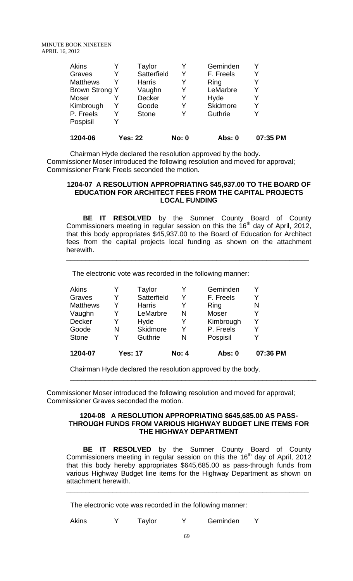| Akins           | Taylor         |              | Geminden  |          |
|-----------------|----------------|--------------|-----------|----------|
| Graves          | Satterfield    | Y            | F. Freels | Y        |
| <b>Matthews</b> | <b>Harris</b>  | Y            | Ring      | Y        |
| Brown Strong Y  | Vaughn         | Y            | LeMarbre  | Y        |
| Moser           | Decker         |              | Hyde      |          |
| Kimbrough       | Goode          | Y            | Skidmore  | Y        |
| P. Freels       | <b>Stone</b>   |              | Guthrie   |          |
| Pospisil        |                |              |           |          |
| 1204-06         | <b>Yes: 22</b> | <b>No: 0</b> | Abs: 0    | 07:35 PM |

Chairman Hyde declared the resolution approved by the body. Commissioner Moser introduced the following resolution and moved for approval; Commissioner Frank Freels seconded the motion.

#### **1204-07 A RESOLUTION APPROPRIATING \$45,937.00 TO THE BOARD OF EDUCATION FOR ARCHITECT FEES FROM THE CAPITAL PROJECTS LOCAL FUNDING**

 **BE IT RESOLVED** by the Sumner County Board of County Commissioners meeting in regular session on this the  $16<sup>th</sup>$  day of April, 2012, that this body appropriates \$45,937.00 to the Board of Education for Architect fees from the capital projects local funding as shown on the attachment herewith.

**\_\_\_\_\_\_\_\_\_\_\_\_\_\_\_\_\_\_\_\_\_\_\_\_\_\_\_\_\_\_\_\_\_\_\_\_\_\_\_\_\_\_\_\_\_\_\_\_\_\_\_\_\_\_\_\_\_\_\_\_\_\_\_**

The electronic vote was recorded in the following manner:

| 1204-07         |   | <b>Yes: 17</b> | <b>No: 4</b> | Abs: 0    | 07:36 PM |
|-----------------|---|----------------|--------------|-----------|----------|
| <b>Stone</b>    |   | Guthrie        | N            | Pospisil  |          |
| Goode           | N | Skidmore       | Y            | P. Freels | Y        |
| Decker          | Y | Hyde           | Y            | Kimbrough | v        |
| Vaughn          | Y | LeMarbre       | N            | Moser     | Y        |
| <b>Matthews</b> | Y | <b>Harris</b>  | Y            | Ring      | N        |
| Graves          | Y | Satterfield    | Y            | F. Freels | Y        |
| <b>Akins</b>    |   | Taylor         |              | Geminden  |          |

Chairman Hyde declared the resolution approved by the body.

Commissioner Moser introduced the following resolution and moved for approval; Commissioner Graves seconded the motion.

#### **1204-08 A RESOLUTION APPROPRIATING \$645,685.00 AS PASS-THROUGH FUNDS FROM VARIOUS HIGHWAY BUDGET LINE ITEMS FOR THE HIGHWAY DEPARTMENT**

\_\_\_\_\_\_\_\_\_\_\_\_\_\_\_\_\_\_\_\_\_\_\_\_\_\_\_\_\_\_\_\_\_\_\_\_\_\_\_\_\_\_\_\_\_\_\_\_\_\_\_\_\_\_\_\_\_\_\_\_\_\_\_\_

 **BE IT RESOLVED** by the Sumner County Board of County Commissioners meeting in regular session on this the 16<sup>th</sup> day of April, 2012 that this body hereby appropriates \$645,685.00 as pass-through funds from various Highway Budget line items for the Highway Department as shown on attachment herewith.

**\_\_\_\_\_\_\_\_\_\_\_\_\_\_\_\_\_\_\_\_\_\_\_\_\_\_\_\_\_\_\_\_\_\_\_\_\_\_\_\_\_\_\_\_\_\_\_\_\_\_\_\_\_\_\_\_\_\_\_\_\_\_\_**

The electronic vote was recorded in the following manner:

Akins Y Taylor Y Geminden Y